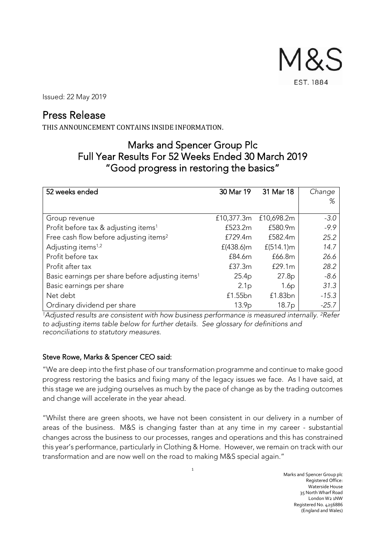M&S **EST. 1884** 

Issued: 22 May 2019

# Press Release

THIS ANNOUNCEMENT CONTAINS INSIDE INFORMATION.

# Marks and Spencer Group Plc Full Year Results For 52 Weeks Ended 30 March 2019 "Good progress in restoring the basics"

| 52 weeks ended                                               | 30 Mar 19         | 31 Mar 18         | Change  |
|--------------------------------------------------------------|-------------------|-------------------|---------|
|                                                              |                   |                   | %       |
|                                                              |                   |                   |         |
| Group revenue                                                | £10,377.3m        | £10,698.2m        | $-3.0$  |
| Profit before tax & adjusting items <sup>1</sup>             | £523.2m           | £580.9m           | $-9.9$  |
| Free cash flow before adjusting items <sup>2</sup>           | £729.4m           | £582.4m           | 25.2    |
| Adjusting items <sup>1,2</sup>                               | $f(438.6)$ m      | $f(514.1)$ m      | 14.7    |
| Profit before tax                                            | £84.6m            | £66.8m            | 26.6    |
| Profit after tax                                             | £37.3m            | £29.1m            | 28.2    |
| Basic earnings per share before adjusting items <sup>1</sup> | 25.4 <sub>p</sub> | 27.8p             | $-8.6$  |
| Basic earnings per share                                     | 2.1 <sub>p</sub>  | 1.6p              | 31.3    |
| Net debt                                                     | £1.55bn           | £1.83bn           | $-15.3$ |
| Ordinary dividend per share                                  | 13.9 <sub>p</sub> | 18.7 <sub>p</sub> | $-25.7$ |

<sup>1</sup>*Adjusted results are consistent with how business performance is measured internally. <sup>2</sup>Refer to adjusting items table below for further details. See glossary for definitions and reconciliations to statutory measures.*

# Steve Rowe, Marks & Spencer CEO said:

"We are deep into the first phase of our transformation programme and continue to make good progress restoring the basics and fixing many of the legacy issues we face. As I have said, at this stage we are judging ourselves as much by the pace of change as by the trading outcomes and change will accelerate in the year ahead.

"Whilst there are green shoots, we have not been consistent in our delivery in a number of areas of the business. M&S is changing faster than at any time in my career - substantial changes across the business to our processes, ranges and operations and this has constrained this year's performance, particularly in Clothing & Home. However, we remain on track with our transformation and are now well on the road to making M&S special again."

1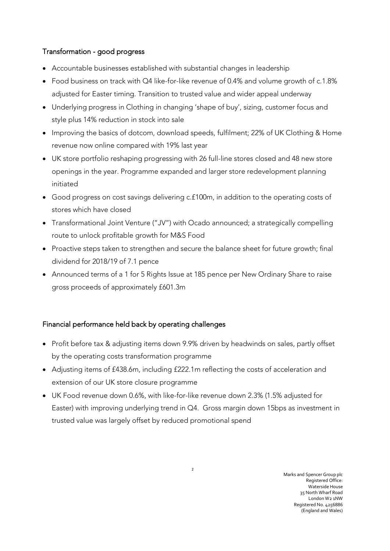# Transformation - good progress

- Accountable businesses established with substantial changes in leadership
- Food business on track with Q4 like-for-like revenue of 0.4% and volume growth of c.1.8% adjusted for Easter timing. Transition to trusted value and wider appeal underway
- Underlying progress in Clothing in changing 'shape of buy', sizing, customer focus and style plus 14% reduction in stock into sale
- Improving the basics of dotcom, download speeds, fulfilment; 22% of UK Clothing & Home revenue now online compared with 19% last year
- UK store portfolio reshaping progressing with 26 full-line stores closed and 48 new store openings in the year. Programme expanded and larger store redevelopment planning initiated
- Good progress on cost savings delivering c.£100m, in addition to the operating costs of stores which have closed
- Transformational Joint Venture ("JV") with Ocado announced; a strategically compelling route to unlock profitable growth for M&S Food
- Proactive steps taken to strengthen and secure the balance sheet for future growth; final dividend for 2018/19 of 7.1 pence
- Announced terms of a 1 for 5 Rights Issue at 185 pence per New Ordinary Share to raise gross proceeds of approximately £601.3m

# Financial performance held back by operating challenges

- Profit before tax & adjusting items down 9.9% driven by headwinds on sales, partly offset by the operating costs transformation programme
- Adjusting items of £438.6m, including £222.1m reflecting the costs of acceleration and extension of our UK store closure programme
- UK Food revenue down 0.6%, with like-for-like revenue down 2.3% (1.5% adjusted for Easter) with improving underlying trend in Q4. Gross margin down 15bps as investment in trusted value was largely offset by reduced promotional spend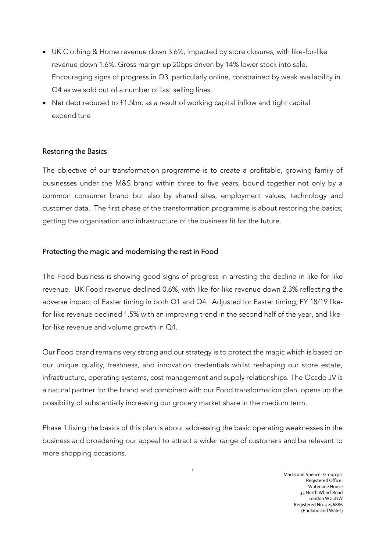- UK Clothing & Home revenue down 3.6%, impacted by store closures, with like-for-like revenue down 1.6%. Gross margin up 20bps driven by 14% lower stock into sale. Encouraging signs of progress in Q3, particularly online, constrained by weak availability in Q4 as we sold out of a number of fast selling lines
- Net debt reduced to £1.5bn, as a result of working capital inflow and tight capital expenditure

# Restoring the Basics

The objective of our transformation programme is to create a profitable, growing family of businesses under the M&S brand within three to five years, bound together not only by a common consumer brand but also by shared sites, employment values, technology and customer data. The first phase of the transformation programme is about restoring the basics; getting the organisation and infrastructure of the business fit for the future.

## Protecting the magic and modernising the rest in Food

The Food business is showing good signs of progress in arresting the decline in like-for-like revenue. UK Food revenue declined 0.6%, with like-for-like revenue down 2.3% reflecting the adverse impact of Easter timing in both Q1 and Q4. Adjusted for Easter timing, FY 18/19 likefor-like revenue declined 1.5% with an improving trend in the second half of the year, and likefor-like revenue and volume growth in Q4.

Our Food brand remains very strong and our strategy is to protect the magic which is based on our unique quality, freshness, and innovation credentials whilst reshaping our store estate, infrastructure, operating systems, cost management and supply relationships. The Ocado JV is a natural partner for the brand and combined with our Food transformation plan, opens up the possibility of substantially increasing our grocery market share in the medium term.

Phase 1 fixing the basics of this plan is about addressing the basic operating weaknesses in the business and broadening our appeal to attract a wider range of customers and be relevant to more shopping occasions.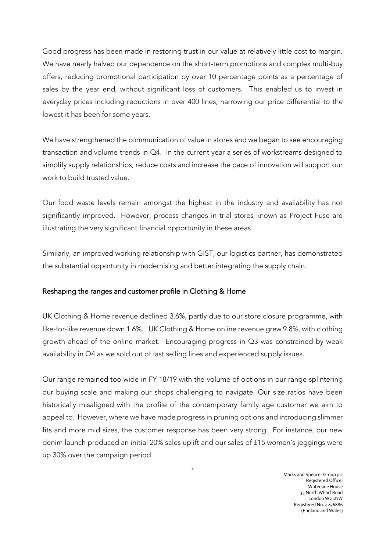Good progress has been made in restoring trust in our value at relatively little cost to margin. We have nearly halved our dependence on the short-term promotions and complex multi-buy offers, reducing promotional participation by over 10 percentage points as a percentage of sales by the year end, without significant loss of customers. This enabled us to invest in everyday prices including reductions in over 400 lines, narrowing our price differential to the lowest it has been for some years.

We have strengthened the communication of value in stores and we began to see encouraging transaction and volume trends in Q4. In the current year a series of workstreams designed to simplify supply relationships, reduce costs and increase the pace of innovation will support our work to build trusted value.

Our food waste levels remain amongst the highest in the industry and availability has not significantly improved. However, process changes in trial stores known as Project Fuse are illustrating the very significant financial opportunity in these areas.

Similarly, an improved working relationship with GIST, our logistics partner, has demonstrated the substantial opportunity in modernising and better integrating the supply chain.

# Reshaping the ranges and customer profile in Clothing & Home

UK Clothing & Home revenue declined 3.6%, partly due to our store closure programme, with like-for-like revenue down 1.6%. UK Clothing & Home online revenue grew 9.8%, with clothing growth ahead of the online market. Encouraging progress in Q3 was constrained by weak availability in Q4 as we sold out of fast selling lines and experienced supply issues.

Our range remained too wide in FY 18/19 with the volume of options in our range splintering our buying scale and making our shops challenging to navigate. Our size ratios have been historically misaligned with the profile of the contemporary family age customer we aim to appeal to. However, where we have made progress in pruning options and introducing slimmer fits and more mid sizes, the customer response has been very strong. For instance, our new denim launch produced an initial 20% sales uplift and our sales of £15 women's jeggings were up 30% over the campaign period.

4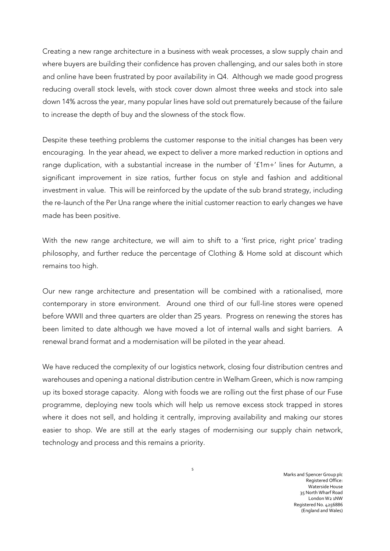Creating a new range architecture in a business with weak processes, a slow supply chain and where buyers are building their confidence has proven challenging, and our sales both in store and online have been frustrated by poor availability in Q4. Although we made good progress reducing overall stock levels, with stock cover down almost three weeks and stock into sale down 14% across the year, many popular lines have sold out prematurely because of the failure to increase the depth of buy and the slowness of the stock flow.

Despite these teething problems the customer response to the initial changes has been very encouraging. In the year ahead, we expect to deliver a more marked reduction in options and range duplication, with a substantial increase in the number of '£1m+' lines for Autumn, a significant improvement in size ratios, further focus on style and fashion and additional investment in value. This will be reinforced by the update of the sub brand strategy, including the re-launch of the Per Una range where the initial customer reaction to early changes we have made has been positive.

With the new range architecture, we will aim to shift to a 'first price, right price' trading philosophy, and further reduce the percentage of Clothing & Home sold at discount which remains too high.

Our new range architecture and presentation will be combined with a rationalised, more contemporary in store environment. Around one third of our full-line stores were opened before WWII and three quarters are older than 25 years. Progress on renewing the stores has been limited to date although we have moved a lot of internal walls and sight barriers. A renewal brand format and a modernisation will be piloted in the year ahead.

We have reduced the complexity of our logistics network, closing four distribution centres and warehouses and opening a national distribution centre in Welham Green, which is now ramping up its boxed storage capacity. Along with foods we are rolling out the first phase of our Fuse programme, deploying new tools which will help us remove excess stock trapped in stores where it does not sell, and holding it centrally, improving availability and making our stores easier to shop. We are still at the early stages of modernising our supply chain network, technology and process and this remains a priority.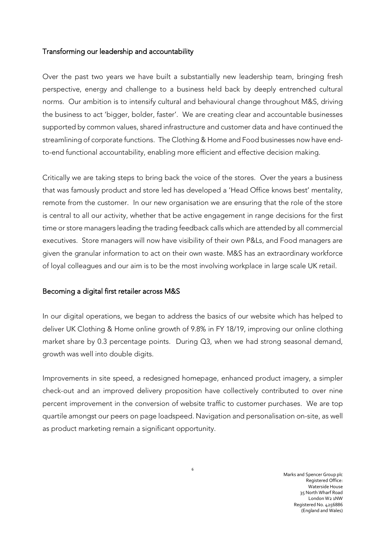### Transforming our leadership and accountability

Over the past two years we have built a substantially new leadership team, bringing fresh perspective, energy and challenge to a business held back by deeply entrenched cultural norms. Our ambition is to intensify cultural and behavioural change throughout M&S, driving the business to act 'bigger, bolder, faster'. We are creating clear and accountable businesses supported by common values, shared infrastructure and customer data and have continued the streamlining of corporate functions. The Clothing & Home and Food businesses now have endto-end functional accountability, enabling more efficient and effective decision making.

Critically we are taking steps to bring back the voice of the stores. Over the years a business that was famously product and store led has developed a 'Head Office knows best' mentality, remote from the customer. In our new organisation we are ensuring that the role of the store is central to all our activity, whether that be active engagement in range decisions for the first time or store managers leading the trading feedback calls which are attended by all commercial executives. Store managers will now have visibility of their own P&Ls, and Food managers are given the granular information to act on their own waste. M&S has an extraordinary workforce of loyal colleagues and our aim is to be the most involving workplace in large scale UK retail.

### Becoming a digital first retailer across M&S

In our digital operations, we began to address the basics of our website which has helped to deliver UK Clothing & Home online growth of 9.8% in FY 18/19, improving our online clothing market share by 0.3 percentage points. During Q3, when we had strong seasonal demand, growth was well into double digits.

Improvements in site speed, a redesigned homepage, enhanced product imagery, a simpler check-out and an improved delivery proposition have collectively contributed to over nine percent improvement in the conversion of website traffic to customer purchases. We are top quartile amongst our peers on page loadspeed. Navigation and personalisation on-site, as well as product marketing remain a significant opportunity.

6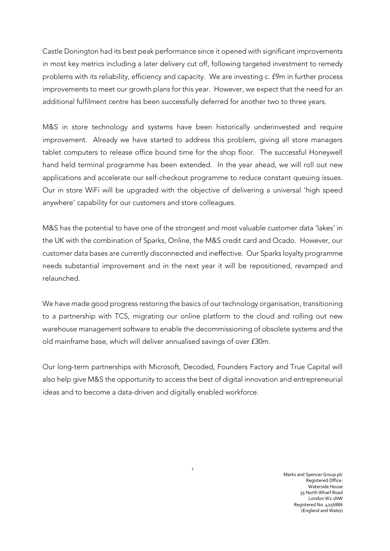Castle Donington had its best peak performance since it opened with significant improvements in most key metrics including a later delivery cut off, following targeted investment to remedy problems with its reliability, efficiency and capacity. We are investing c. £9m in further process improvements to meet our growth plans for this year. However, we expect that the need for an additional fulfilment centre has been successfully deferred for another two to three years.

M&S in store technology and systems have been historically underinvested and require improvement. Already we have started to address this problem, giving all store managers tablet computers to release office bound time for the shop floor. The successful Honeywell hand held terminal programme has been extended. In the year ahead, we will roll out new applications and accelerate our self-checkout programme to reduce constant queuing issues. Our in store WiFi will be upgraded with the objective of delivering a universal 'high speed anywhere' capability for our customers and store colleagues.

M&S has the potential to have one of the strongest and most valuable customer data 'lakes' in the UK with the combination of Sparks, Online, the M&S credit card and Ocado. However, our customer data bases are currently disconnected and ineffective. Our Sparks loyalty programme needs substantial improvement and in the next year it will be repositioned, revamped and relaunched.

We have made good progress restoring the basics of our technology organisation, transitioning to a partnership with TCS, migrating our online platform to the cloud and rolling out new warehouse management software to enable the decommissioning of obsolete systems and the old mainframe base, which will deliver annualised savings of over £30m.

Our long-term partnerships with Microsoft, Decoded, Founders Factory and True Capital will also help give M&S the opportunity to access the best of digital innovation and entrepreneurial ideas and to become a data-driven and digitally enabled workforce.

7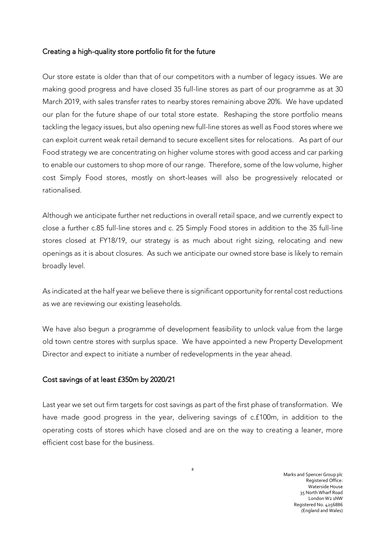# Creating a high-quality store portfolio fit for the future

Our store estate is older than that of our competitors with a number of legacy issues. We are making good progress and have closed 35 full-line stores as part of our programme as at 30 March 2019, with sales transfer rates to nearby stores remaining above 20%. We have updated our plan for the future shape of our total store estate. Reshaping the store portfolio means tackling the legacy issues, but also opening new full-line stores as well as Food stores where we can exploit current weak retail demand to secure excellent sites for relocations. As part of our Food strategy we are concentrating on higher volume stores with good access and car parking to enable our customers to shop more of our range. Therefore, some of the low volume, higher cost Simply Food stores, mostly on short-leases will also be progressively relocated or rationalised.

Although we anticipate further net reductions in overall retail space, and we currently expect to close a further c.85 full-line stores and c. 25 Simply Food stores in addition to the 35 full-line stores closed at FY18/19, our strategy is as much about right sizing, relocating and new openings as it is about closures. As such we anticipate our owned store base is likely to remain broadly level.

As indicated at the half year we believe there is significant opportunity for rental cost reductions as we are reviewing our existing leaseholds.

We have also begun a programme of development feasibility to unlock value from the large old town centre stores with surplus space. We have appointed a new Property Development Director and expect to initiate a number of redevelopments in the year ahead.

# Cost savings of at least £350m by 2020/21

Last year we set out firm targets for cost savings as part of the first phase of transformation. We have made good progress in the year, delivering savings of c.£100m, in addition to the operating costs of stores which have closed and are on the way to creating a leaner, more efficient cost base for the business.

8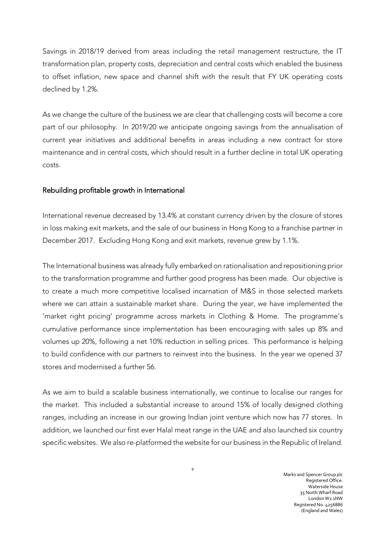Savings in 2018/19 derived from areas including the retail management restructure, the IT transformation plan, property costs, depreciation and central costs which enabled the business to offset inflation, new space and channel shift with the result that FY UK operating costs declined by 1.2%.

As we change the culture of the business we are clear that challenging costs will become a core part of our philosophy. In 2019/20 we anticipate ongoing savings from the annualisation of current year initiatives and additional benefits in areas including a new contract for store maintenance and in central costs, which should result in a further decline in total UK operating costs.

### Rebuilding profitable growth in International

International revenue decreased by 13.4% at constant currency driven by the closure of stores in loss making exit markets, and the sale of our business in Hong Kong to a franchise partner in December 2017. Excluding Hong Kong and exit markets, revenue grew by 1.1%.

The International business was already fully embarked on rationalisation and repositioning prior to the transformation programme and further good progress has been made. Our objective is to create a much more competitive localised incarnation of M&S in those selected markets where we can attain a sustainable market share. During the year, we have implemented the 'market right pricing' programme across markets in Clothing & Home. The programme's cumulative performance since implementation has been encouraging with sales up 8% and volumes up 20%, following a net 10% reduction in selling prices. This performance is helping to build confidence with our partners to reinvest into the business. In the year we opened 37 stores and modernised a further 56.

As we aim to build a scalable business internationally, we continue to localise our ranges for the market. This included a substantial increase to around 15% of locally designed clothing ranges, including an increase in our growing Indian joint venture which now has 77 stores. In addition, we launched our first ever Halal meat range in the UAE and also launched six country specific websites. We also re-platformed the website for our business in the Republic of Ireland.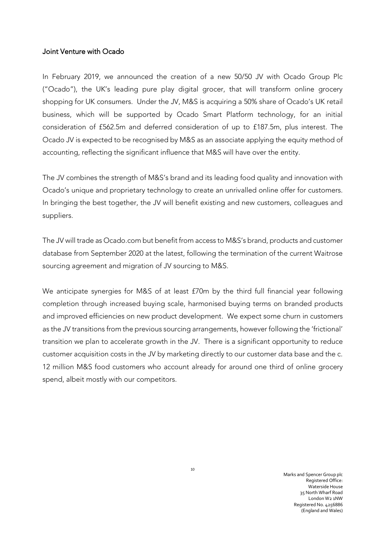### Joint Venture with Ocado

In February 2019, we announced the creation of a new 50/50 JV with Ocado Group Plc ("Ocado"), the UK's leading pure play digital grocer, that will transform online grocery shopping for UK consumers. Under the JV, M&S is acquiring a 50% share of Ocado's UK retail business, which will be supported by Ocado Smart Platform technology, for an initial consideration of £562.5m and deferred consideration of up to £187.5m, plus interest. The Ocado JV is expected to be recognised by M&S as an associate applying the equity method of accounting, reflecting the significant influence that M&S will have over the entity.

The JV combines the strength of M&S's brand and its leading food quality and innovation with Ocado's unique and proprietary technology to create an unrivalled online offer for customers. In bringing the best together, the JV will benefit existing and new customers, colleagues and suppliers.

The JV will trade as Ocado.com but benefit from access to M&S's brand, products and customer database from September 2020 at the latest, following the termination of the current Waitrose sourcing agreement and migration of JV sourcing to M&S.

We anticipate synergies for M&S of at least £70m by the third full financial year following completion through increased buying scale, harmonised buying terms on branded products and improved efficiencies on new product development. We expect some churn in customers as the JV transitions from the previous sourcing arrangements, however following the 'frictional' transition we plan to accelerate growth in the JV. There is a significant opportunity to reduce customer acquisition costs in the JV by marketing directly to our customer data base and the c. 12 million M&S food customers who account already for around one third of online grocery spend, albeit mostly with our competitors.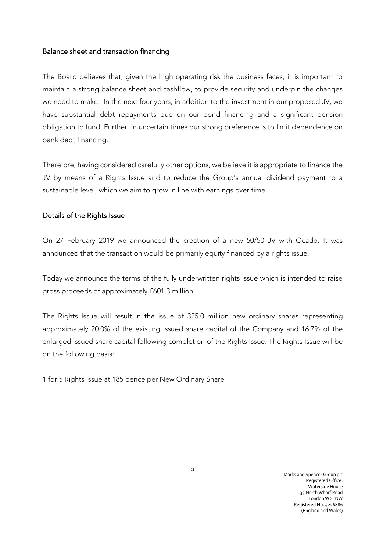## Balance sheet and transaction financing

The Board believes that, given the high operating risk the business faces, it is important to maintain a strong balance sheet and cashflow, to provide security and underpin the changes we need to make. In the next four years, in addition to the investment in our proposed JV, we have substantial debt repayments due on our bond financing and a significant pension obligation to fund. Further, in uncertain times our strong preference is to limit dependence on bank debt financing.

Therefore, having considered carefully other options, we believe it is appropriate to finance the JV by means of a Rights Issue and to reduce the Group's annual dividend payment to a sustainable level, which we aim to grow in line with earnings over time.

# Details of the Rights Issue

On 27 February 2019 we announced the creation of a new 50/50 JV with Ocado. It was announced that the transaction would be primarily equity financed by a rights issue.

Today we announce the terms of the fully underwritten rights issue which is intended to raise gross proceeds of approximately £601.3 million.

The Rights Issue will result in the issue of 325.0 million new ordinary shares representing approximately 20.0% of the existing issued share capital of the Company and 16.7% of the enlarged issued share capital following completion of the Rights Issue. The Rights Issue will be on the following basis:

1 for 5 Rights Issue at 185 pence per New Ordinary Share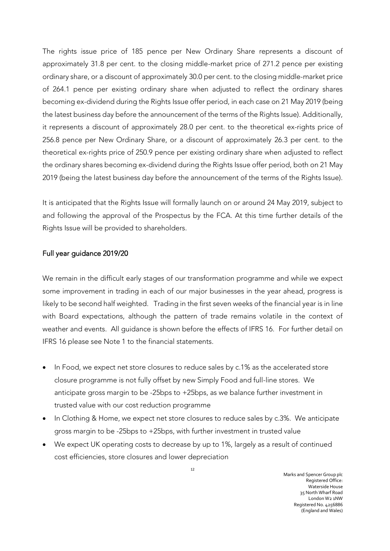The rights issue price of 185 pence per New Ordinary Share represents a discount of approximately 31.8 per cent. to the closing middle-market price of 271.2 pence per existing ordinary share, or a discount of approximately 30.0 per cent. to the closing middle-market price of 264.1 pence per existing ordinary share when adjusted to reflect the ordinary shares becoming ex-dividend during the Rights Issue offer period, in each case on 21 May 2019 (being the latest business day before the announcement of the terms of the Rights Issue). Additionally, it represents a discount of approximately 28.0 per cent. to the theoretical ex-rights price of 256.8 pence per New Ordinary Share, or a discount of approximately 26.3 per cent. to the theoretical ex-rights price of 250.9 pence per existing ordinary share when adjusted to reflect the ordinary shares becoming ex-dividend during the Rights Issue offer period, both on 21 May 2019 (being the latest business day before the announcement of the terms of the Rights Issue).

It is anticipated that the Rights Issue will formally launch on or around 24 May 2019, subject to and following the approval of the Prospectus by the FCA. At this time further details of the Rights Issue will be provided to shareholders.

## Full year guidance 2019/20

We remain in the difficult early stages of our transformation programme and while we expect some improvement in trading in each of our major businesses in the year ahead, progress is likely to be second half weighted. Trading in the first seven weeks of the financial year is in line with Board expectations, although the pattern of trade remains volatile in the context of weather and events. All guidance is shown before the effects of IFRS 16. For further detail on IFRS 16 please see Note 1 to the financial statements.

- In Food, we expect net store closures to reduce sales by c.1% as the accelerated store closure programme is not fully offset by new Simply Food and full-line stores. We anticipate gross margin to be -25bps to +25bps, as we balance further investment in trusted value with our cost reduction programme
- In Clothing & Home, we expect net store closures to reduce sales by c.3%. We anticipate gross margin to be -25bps to +25bps, with further investment in trusted value
- We expect UK operating costs to decrease by up to 1%, largely as a result of continued cost efficiencies, store closures and lower depreciation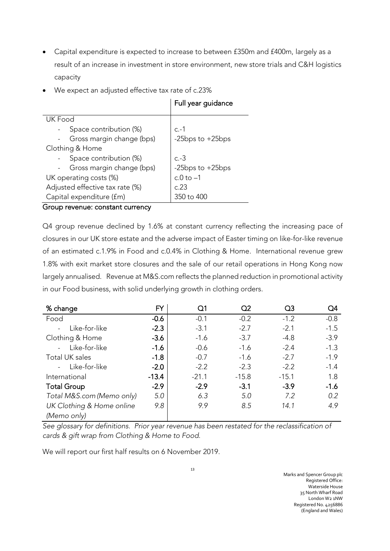- Capital expenditure is expected to increase to between £350m and £400m, largely as a result of an increase in investment in store environment, new store trials and C&H logistics capacity
- We expect an adjusted effective tax rate of c.23%

|                                 | Full year guidance    |
|---------------------------------|-----------------------|
| UK Food                         |                       |
| Space contribution (%)          | $C - 1$               |
| Gross margin change (bps)       | -25 $bps$ to $+25bps$ |
| Clothing & Home                 |                       |
| Space contribution (%)          | $c.-3$                |
| Gross margin change (bps)       | -25bps to +25bps      |
| UK operating costs (%)          | $c.0$ to $-1$         |
| Adjusted effective tax rate (%) | 0.23                  |
| Capital expenditure (fm)        | $350$ to $400$        |

### Group revenue: constant currency

Q4 group revenue declined by 1.6% at constant currency reflecting the increasing pace of closures in our UK store estate and the adverse impact of Easter timing on like-for-like revenue of an estimated c.1.9% in Food and c.0.4% in Clothing & Home. International revenue grew 1.8% with exit market store closures and the sale of our retail operations in Hong Kong now largely annualised. Revenue at M&S.com reflects the planned reduction in promotional activity in our Food business, with solid underlying growth in clothing orders.

| % change                  | FY      | Q1      | Q2      | Q3      | O4     |
|---------------------------|---------|---------|---------|---------|--------|
| Food                      | $-0.6$  | $-0.1$  | $-0.2$  | $-1.2$  | $-0.8$ |
| Like-for-like             | $-2.3$  | $-3.1$  | $-2.7$  | $-2.1$  | $-1.5$ |
| Clothing & Home           | $-3.6$  | $-1.6$  | $-3.7$  | $-4.8$  | $-3.9$ |
| Like-for-like             | $-1.6$  | $-0.6$  | $-1.6$  | $-2.4$  | $-1.3$ |
| Total UK sales            | $-1.8$  | $-0.7$  | $-1.6$  | $-2.7$  | $-1.9$ |
| Like-for-like             | $-2.0$  | $-2.2$  | $-2.3$  | $-2.2$  | $-1.4$ |
| International             | $-13.4$ | $-21.1$ | $-15.8$ | $-15.1$ | 1.8    |
| <b>Total Group</b>        | $-2.9$  | $-2.9$  | $-3.1$  | $-3.9$  | $-1.6$ |
| Total M&S.com (Memo only) | 5.0     | 6.3     | 5.0     | 7.2     | 0.2    |
| UK Clothing & Home online | 9.8     | 9.9     | 8.5     | 14.1    | 4.9    |
| (Memo only)               |         |         |         |         |        |

*See glossary for definitions. Prior year revenue has been restated for the reclassification of cards & gift wrap from Clothing & Home to Food.*

We will report our first half results on 6 November 2019.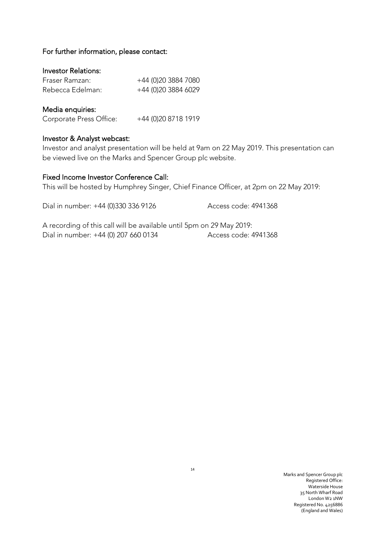### For further information, please contact:

# Investor Relations:

| Fraser Ramzan:   | +44 (0)20 3884 7080 |
|------------------|---------------------|
| Rebecca Edelman: | +44 (0)20 3884 6029 |

### Media enquiries:

| Corporate Press Office: | +44 (0) 20 8718 1919 |
|-------------------------|----------------------|
|-------------------------|----------------------|

### Investor & Analyst webcast:

Investor and analyst presentation will be held at 9am on 22 May 2019. This presentation can be viewed live on the Marks and Spencer Group plc website.

# Fixed Income Investor Conference Call:

This will be hosted by Humphrey Singer, Chief Finance Officer, at 2pm on 22 May 2019:

Dial in number: +44 (0)330 336 9126 Access code: 4941368

A recording of this call will be available until 5pm on 29 May 2019: Dial in number: +44 (0) 207 660 0134 Access code: 4941368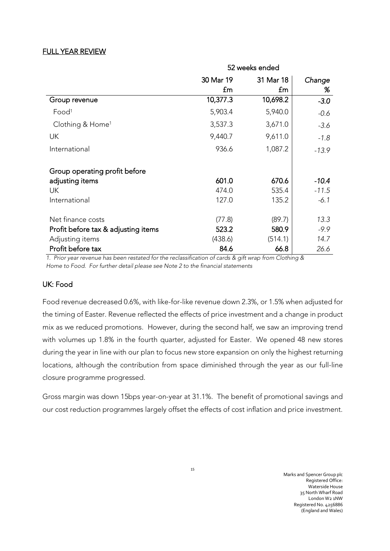# FULL YEAR REVIEW

|                                     | 52 weeks ended |           |         |  |
|-------------------------------------|----------------|-----------|---------|--|
|                                     | 30 Mar 19      | 31 Mar 18 | Change  |  |
|                                     | £m             | £m        | %       |  |
| Group revenue                       | 10,377.3       | 10,698.2  | $-3.0$  |  |
| Food <sup>1</sup>                   | 5,903.4        | 5,940.0   | $-0.6$  |  |
| Clothing & Home <sup>1</sup>        | 3,537.3        | 3,671.0   | $-3.6$  |  |
| UK                                  | 9,440.7        | 9,611.0   | $-1.8$  |  |
| International                       | 936.6          | 1,087.2   | $-13.9$ |  |
| Group operating profit before       |                |           |         |  |
| adjusting items                     | 601.0          | 670.6     | $-10.4$ |  |
| UK                                  | 474.0          | 535.4     | $-11.5$ |  |
| International                       | 127.0          | 135.2     | $-6.1$  |  |
| Net finance costs                   | (77.8)         | (89.7)    | 13.3    |  |
| Profit before tax & adjusting items | 523.2          | 580.9     | $-9.9$  |  |
| Adjusting items                     | (438.6)        | (514.1)   | 14.7    |  |
| Profit before tax                   | 84.6           | 66.8      | 26.6    |  |

*1. Prior year revenue has been restated for the reclassification of cards & gift wrap from Clothing & Home to Food. For further detail please see Note 2 to the financial statements*

# UK: Food

Food revenue decreased 0.6%, with like-for-like revenue down 2.3%, or 1.5% when adjusted for the timing of Easter. Revenue reflected the effects of price investment and a change in product mix as we reduced promotions. However, during the second half, we saw an improving trend with volumes up 1.8% in the fourth quarter, adjusted for Easter. We opened 48 new stores during the year in line with our plan to focus new store expansion on only the highest returning locations, although the contribution from space diminished through the year as our full-line closure programme progressed.

Gross margin was down 15bps year-on-year at 31.1%. The benefit of promotional savings and our cost reduction programmes largely offset the effects of cost inflation and price investment.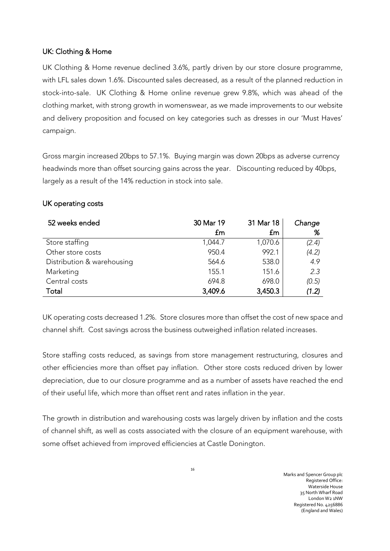# UK: Clothing & Home

UK Clothing & Home revenue declined 3.6%, partly driven by our store closure programme, with LFL sales down 1.6%. Discounted sales decreased, as a result of the planned reduction in stock-into-sale. UK Clothing & Home online revenue grew 9.8%, which was ahead of the clothing market, with strong growth in womenswear, as we made improvements to our website and delivery proposition and focused on key categories such as dresses in our 'Must Haves' campaign.

Gross margin increased 20bps to 57.1%. Buying margin was down 20bps as adverse currency headwinds more than offset sourcing gains across the year. Discounting reduced by 40bps, largely as a result of the 14% reduction in stock into sale.

# UK operating costs

| 52 weeks ended             | 30 Mar 19 | 31 Mar 18 | Change |
|----------------------------|-----------|-----------|--------|
|                            | £m        | £m        | %      |
| Store staffing             | 1,044.7   | 1,070.6   | (2.4)  |
| Other store costs          | 950.4     | 992.1     | (4.2)  |
| Distribution & warehousing | 564.6     | 538.0     | 4.9    |
| Marketing                  | 155.1     | 151.6     | 2.3    |
| Central costs              | 694.8     | 698.0     | (0.5)  |
| Total                      | 3,409.6   | 3,450.3   | (1.2)  |

UK operating costs decreased 1.2%. Store closures more than offset the cost of new space and channel shift. Cost savings across the business outweighed inflation related increases.

Store staffing costs reduced, as savings from store management restructuring, closures and other efficiencies more than offset pay inflation. Other store costs reduced driven by lower depreciation, due to our closure programme and as a number of assets have reached the end of their useful life, which more than offset rent and rates inflation in the year.

The growth in distribution and warehousing costs was largely driven by inflation and the costs of channel shift, as well as costs associated with the closure of an equipment warehouse, with some offset achieved from improved efficiencies at Castle Donington.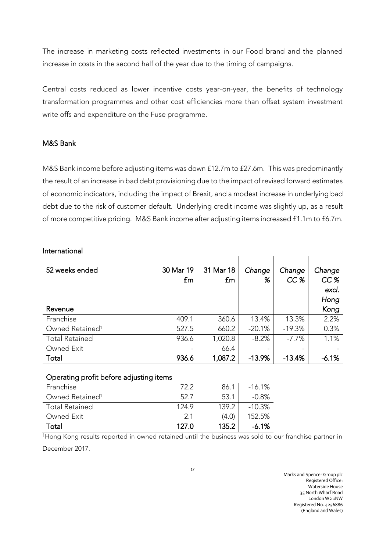The increase in marketing costs reflected investments in our Food brand and the planned increase in costs in the second half of the year due to the timing of campaigns.

Central costs reduced as lower incentive costs year-on-year, the benefits of technology transformation programmes and other cost efficiencies more than offset system investment write offs and expenditure on the Fuse programme.

## M&S Bank

M&S Bank income before adjusting items was down £12.7m to £27.6m. This was predominantly the result of an increase in bad debt provisioning due to the impact of revised forward estimates of economic indicators, including the impact of Brexit, and a modest increase in underlying bad debt due to the risk of customer default. Underlying credit income was slightly up, as a result of more competitive pricing. M&S Bank income after adjusting items increased £1.1m to £6.7m.

### International

| 52 weeks ended              | 30 Mar 19<br>£m | 31 Mar 18<br>£m | Change<br>% | Change<br>CC <sub>%</sub> | Change<br>CC%<br>excl.<br>Hong |
|-----------------------------|-----------------|-----------------|-------------|---------------------------|--------------------------------|
| Revenue                     |                 |                 |             |                           | Kong                           |
| Franchise                   | 409.1           | 360.6           | 13.4%       | 13.3%                     | 2.2%                           |
| Owned Retained <sup>1</sup> | 527.5           | 660.2           | $-20.1%$    | $-19.3%$                  | 0.3%                           |
| <b>Total Retained</b>       | 936.6           | 1,020.8         | $-8.2%$     | $-7.7%$                   | 1.1%                           |
| Owned Exit                  |                 | 66.4            |             |                           |                                |
| Total                       | 936.6           | 1,087.2         | $-13.9%$    | $-13.4%$                  | $-6.1%$                        |

# Operating profit before adjusting items

| Franchise                   | 722   | 86.1  | $-16.1%$  |
|-----------------------------|-------|-------|-----------|
| Owned Retained <sup>1</sup> | 52.7  | 53.1  | $-0.8\%$  |
| <b>Total Retained</b>       | 1249  | 139.2 | $-10.3\%$ |
| Owned Exit                  | 21    | (4.0) | 152.5%    |
| Total                       | 127.O | 135.2 | $-6.1\%$  |

<sup>1</sup>Hong Kong results reported in owned retained until the business was sold to our franchise partner in December 2017.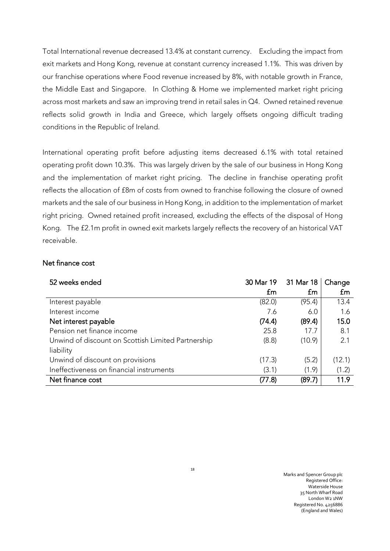Total International revenue decreased 13.4% at constant currency. Excluding the impact from exit markets and Hong Kong, revenue at constant currency increased 1.1%. This was driven by our franchise operations where Food revenue increased by 8%, with notable growth in France, the Middle East and Singapore. In Clothing & Home we implemented market right pricing across most markets and saw an improving trend in retail sales in Q4. Owned retained revenue reflects solid growth in India and Greece, which largely offsets ongoing difficult trading conditions in the Republic of Ireland.

International operating profit before adjusting items decreased 6.1% with total retained operating profit down 10.3%. This was largely driven by the sale of our business in Hong Kong and the implementation of market right pricing. The decline in franchise operating profit reflects the allocation of £8m of costs from owned to franchise following the closure of owned markets and the sale of our business in Hong Kong, in addition to the implementation of market right pricing. Owned retained profit increased, excluding the effects of the disposal of Hong Kong. The £2.1m profit in owned exit markets largely reflects the recovery of an historical VAT receivable.

# Net finance cost

| 52 weeks ended                                     | 30 Mar 19   | 31 Mar 18 | Change |
|----------------------------------------------------|-------------|-----------|--------|
|                                                    | $f_{\rm m}$ | £m        | £m     |
| Interest payable                                   | (82.0)      | (95.4)    | 13.4   |
| Interest income                                    | 7.6         | 6.0       | 1.6    |
| Net interest payable                               | (74.4)      | (89.4)    | 15.0   |
| Pension net finance income                         | 25.8        | 17.7      | 8.1    |
| Unwind of discount on Scottish Limited Partnership | (8.8)       | (10.9)    | 2.1    |
| liability                                          |             |           |        |
| Unwind of discount on provisions                   | (17.3)      | (5.2)     | (12.1) |
| Ineffectiveness on financial instruments           | (3.1)       | (1.9)     | (1.2)  |
| Net finance cost                                   | (77.8)      | (89.7)    | 11.9   |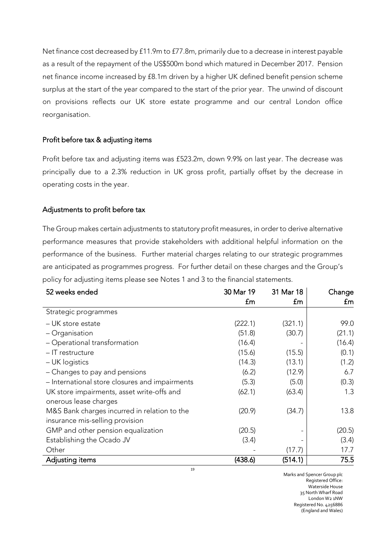Net finance cost decreased by £11.9m to £77.8m, primarily due to a decrease in interest payable as a result of the repayment of the US\$500m bond which matured in December 2017. Pension net finance income increased by £8.1m driven by a higher UK defined benefit pension scheme surplus at the start of the year compared to the start of the prior year. The unwind of discount on provisions reflects our UK store estate programme and our central London office reorganisation.

### Profit before tax & adjusting items

Profit before tax and adjusting items was £523.2m, down 9.9% on last year. The decrease was principally due to a 2.3% reduction in UK gross profit, partially offset by the decrease in operating costs in the year.

### Adjustments to profit before tax

The Group makes certain adjustments to statutory profit measures, in order to derive alternative performance measures that provide stakeholders with additional helpful information on the performance of the business. Further material charges relating to our strategic programmes are anticipated as programmes progress. For further detail on these charges and the Group's policy for adjusting items please see Notes 1 and 3 to the financial statements.

| 52 weeks ended                                 | 30 Mar 19 | 31 Mar 18 | Change |
|------------------------------------------------|-----------|-----------|--------|
|                                                | £m        | £m        | £m     |
| Strategic programmes                           |           |           |        |
| - UK store estate                              | (222.1)   | (321.1)   | 99.0   |
| - Organisation                                 | (51.8)    | (30.7)    | (21.1) |
| - Operational transformation                   | (16.4)    |           | (16.4) |
| - IT restructure                               | (15.6)    | (15.5)    | (0.1)  |
| - UK logistics                                 | (14.3)    | (13.1)    | (1.2)  |
| - Changes to pay and pensions                  | (6.2)     | (12.9)    | 6.7    |
| - International store closures and impairments | (5.3)     | (5.0)     | (0.3)  |
| UK store impairments, asset write-offs and     | (62.1)    | (63.4)    | 1.3    |
| onerous lease charges                          |           |           |        |
| M&S Bank charges incurred in relation to the   | (20.9)    | (34.7)    | 13.8   |
| insurance mis-selling provision                |           |           |        |
| GMP and other pension equalization             | (20.5)    |           | (20.5) |
| Establishing the Ocado JV                      | (3.4)     |           | (3.4)  |
| Other                                          |           | (17.7)    | 17.7   |
| Adjusting items                                | (438.6)   | (514.1)   | 75.5   |

19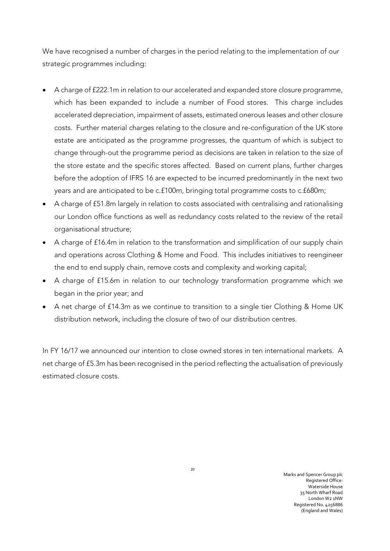We have recognised a number of charges in the period relating to the implementation of our strategic programmes including:

- A charge of £222.1m in relation to our accelerated and expanded store closure programme, which has been expanded to include a number of Food stores. This charge includes accelerated depreciation, impairment of assets, estimated onerous leases and other closure costs. Further material charges relating to the closure and re-configuration of the UK store estate are anticipated as the programme progresses, the quantum of which is subject to change through-out the programme period as decisions are taken in relation to the size of the store estate and the specific stores affected. Based on current plans, further charges before the adoption of IFRS 16 are expected to be incurred predominantly in the next two years and are anticipated to be c.£100m, bringing total programme costs to c.£680m;
- A charge of £51.8m largely in relation to costs associated with centralising and rationalising our London office functions as well as redundancy costs related to the review of the retail organisational structure;
- A charge of £16.4m in relation to the transformation and simplification of our supply chain and operations across Clothing & Home and Food. This includes initiatives to reengineer the end to end supply chain, remove costs and complexity and working capital;
- A charge of £15.6m in relation to our technology transformation programme which we began in the prior year; and
- A net charge of £14.3m as we continue to transition to a single tier Clothing & Home UK distribution network, including the closure of two of our distribution centres.

In FY 16/17 we announced our intention to close owned stores in ten international markets. A net charge of £5.3m has been recognised in the period reflecting the actualisation of previously estimated closure costs.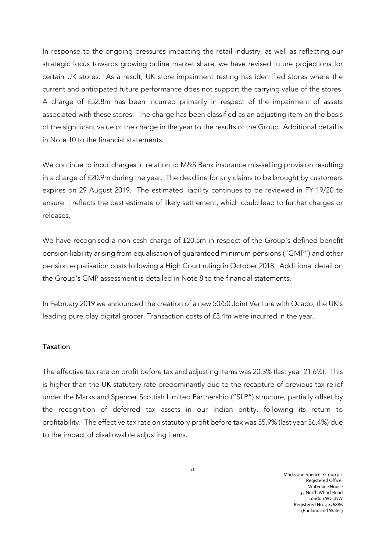In response to the ongoing pressures impacting the retail industry, as well as reflecting our strategic focus towards growing online market share, we have revised future projections for certain UK stores. As a result, UK store impairment testing has identified stores where the current and anticipated future performance does not support the carrying value of the stores. A charge of £52.8m has been incurred primarily in respect of the impairment of assets associated with these stores. The charge has been classified as an adjusting item on the basis of the significant value of the charge in the year to the results of the Group. Additional detail is in Note 10 to the financial statements.

We continue to incur charges in relation to M&S Bank insurance mis-selling provision resulting in a charge of £20.9m during the year. The deadline for any claims to be brought by customers expires on 29 August 2019. The estimated liability continues to be reviewed in FY 19/20 to ensure it reflects the best estimate of likely settlement, which could lead to further charges or releases.

We have recognised a non-cash charge of £20.5m in respect of the Group's defined benefit pension liability arising from equalisation of guaranteed minimum pensions ("GMP") and other pension equalisation costs following a High Court ruling in October 2018. Additional detail on the Group's GMP assessment is detailed in Note 8 to the financial statements.

In February 2019 we announced the creation of a new 50/50 Joint Venture with Ocado, the UK's leading pure play digital grocer. Transaction costs of £3.4m were incurred in the year.

### Taxation

The effective tax rate on profit before tax and adjusting items was 20.3% (last year 21.6%). This is higher than the UK statutory rate predominantly due to the recapture of previous tax relief under the Marks and Spencer Scottish Limited Partnership ("SLP") structure, partially offset by the recognition of deferred tax assets in our Indian entity, following its return to profitability. The effective tax rate on statutory profit before tax was 55.9% (last year 56.4%) due to the impact of disallowable adjusting items.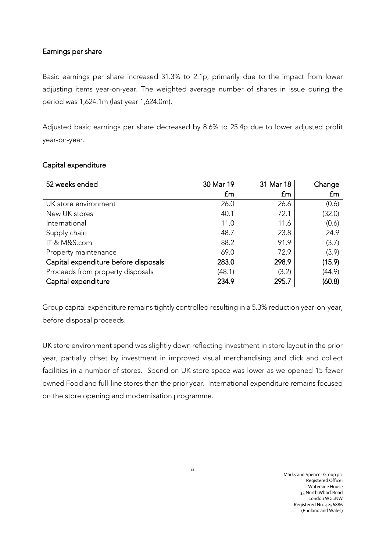## Earnings per share

Basic earnings per share increased 31.3% to 2.1p, primarily due to the impact from lower adjusting items year-on-year. The weighted average number of shares in issue during the period was 1,624.1m (last year 1,624.0m).

Adjusted basic earnings per share decreased by 8.6% to 25.4p due to lower adjusted profit year-on-year.

| 52 weeks ended                       | 30 Mar 19<br>£m | 31 Mar 18<br>£m | Change<br>£m |
|--------------------------------------|-----------------|-----------------|--------------|
| UK store environment                 | 26.0            | 26.6            | (0.6)        |
| New UK stores                        | 40.1            | 72.1            | (32.0)       |
| International                        | 11.0            | 11.6            | (0.6)        |
| Supply chain                         | 48.7            | 23.8            | 24.9         |
| IT & M&S.com                         | 88.2            | 91.9            | (3.7)        |
| Property maintenance                 | 69.0            | 72.9            | (3.9)        |
| Capital expenditure before disposals | 283.0           | 298.9           | (15.9)       |
| Proceeds from property disposals     | (48.1)          | (3.2)           | (44.9)       |
| Capital expenditure                  | 234.9           | 295.7           | (60.8)       |

### Capital expenditure

Group capital expenditure remains tightly controlled resulting in a 5.3% reduction year-on-year, before disposal proceeds.

UK store environment spend was slightly down reflecting investment in store layout in the prior year, partially offset by investment in improved visual merchandising and click and collect facilities in a number of stores. Spend on UK store space was lower as we opened 15 fewer owned Food and full-line stores than the prior year. International expenditure remains focused on the store opening and modernisation programme.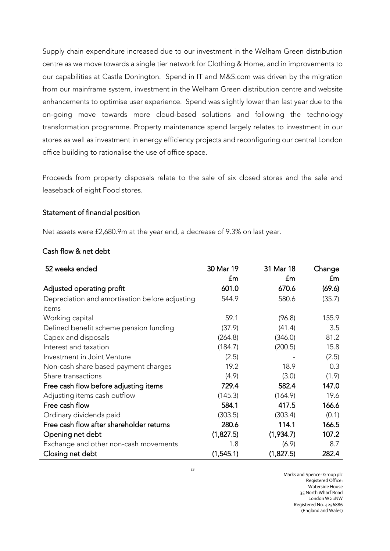Supply chain expenditure increased due to our investment in the Welham Green distribution centre as we move towards a single tier network for Clothing & Home, and in improvements to our capabilities at Castle Donington. Spend in IT and M&S.com was driven by the migration from our mainframe system, investment in the Welham Green distribution centre and website enhancements to optimise user experience. Spend was slightly lower than last year due to the on-going move towards more cloud-based solutions and following the technology transformation programme. Property maintenance spend largely relates to investment in our stores as well as investment in energy efficiency projects and reconfiguring our central London office building to rationalise the use of office space.

Proceeds from property disposals relate to the sale of six closed stores and the sale and leaseback of eight Food stores.

# Statement of financial position

Net assets were £2,680.9m at the year end, a decrease of 9.3% on last year.

### Cash flow & net debt

| 52 weeks ended                                 | 30 Mar 19 | 31 Mar 18 | Change |
|------------------------------------------------|-----------|-----------|--------|
|                                                | £m        | £m        | £m     |
| Adjusted operating profit                      | 601.0     | 670.6     | (69.6) |
| Depreciation and amortisation before adjusting | 544.9     | 580.6     | (35.7) |
| items                                          |           |           |        |
| Working capital                                | 59.1      | (96.8)    | 155.9  |
| Defined benefit scheme pension funding         | (37.9)    | (41.4)    | 3.5    |
| Capex and disposals                            | (264.8)   | (346.0)   | 81.2   |
| Interest and taxation                          | (184.7)   | (200.5)   | 15.8   |
| Investment in Joint Venture                    | (2.5)     |           | (2.5)  |
| Non-cash share based payment charges           | 19.2      | 18.9      | 0.3    |
| Share transactions                             | (4.9)     | (3.0)     | (1.9)  |
| Free cash flow before adjusting items          | 729.4     | 582.4     | 147.0  |
| Adjusting items cash outflow                   | (145.3)   | (164.9)   | 19.6   |
| Free cash flow                                 | 584.1     | 417.5     | 166.6  |
| Ordinary dividends paid                        | (303.5)   | (303.4)   | (0.1)  |
| Free cash flow after shareholder returns       | 280.6     | 114.1     | 166.5  |
| Opening net debt                               | (1,827.5) | (1,934.7) | 107.2  |
| Exchange and other non-cash movements          | 1.8       | (6.9)     | 8.7    |
| Closing net debt                               | (1,545.1) | (1,827.5) | 282.4  |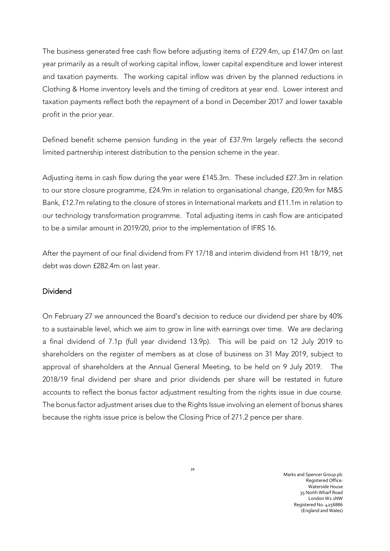The business generated free cash flow before adjusting items of £729.4m, up £147.0m on last year primarily as a result of working capital inflow, lower capital expenditure and lower interest and taxation payments. The working capital inflow was driven by the planned reductions in Clothing & Home inventory levels and the timing of creditors at year end. Lower interest and taxation payments reflect both the repayment of a bond in December 2017 and lower taxable profit in the prior year.

Defined benefit scheme pension funding in the year of £37.9m largely reflects the second limited partnership interest distribution to the pension scheme in the year.

Adjusting items in cash flow during the year were £145.3m. These included £27.3m in relation to our store closure programme, £24.9m in relation to organisational change, £20.9m for M&S Bank, £12.7m relating to the closure of stores in International markets and £11.1m in relation to our technology transformation programme. Total adjusting items in cash flow are anticipated to be a similar amount in 2019/20, prior to the implementation of IFRS 16.

After the payment of our final dividend from FY 17/18 and interim dividend from H1 18/19, net debt was down £282.4m on last year.

# Dividend

On February 27 we announced the Board's decision to reduce our dividend per share by 40% to a sustainable level, which we aim to grow in line with earnings over time. We are declaring a final dividend of 7.1p (full year dividend 13.9p). This will be paid on 12 July 2019 to shareholders on the register of members as at close of business on 31 May 2019, subject to approval of shareholders at the Annual General Meeting, to be held on 9 July 2019. The 2018/19 final dividend per share and prior dividends per share will be restated in future accounts to reflect the bonus factor adjustment resulting from the rights issue in due course. The bonus factor adjustment arises due to the Rights Issue involving an element of bonus shares because the rights issue price is below the Closing Price of 271.2 pence per share.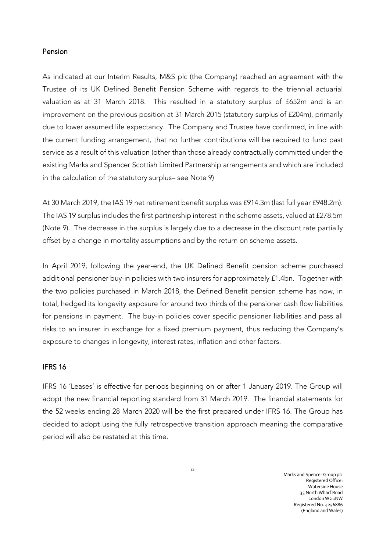### Pension

As indicated at our Interim Results, M&S plc (the Company) reached an agreement with the Trustee of its UK Defined Benefit Pension Scheme with regards to the triennial actuarial valuation as at 31 March 2018. This resulted in a statutory surplus of £652m and is an improvement on the previous position at 31 March 2015 (statutory surplus of £204m), primarily due to lower assumed life expectancy. The Company and Trustee have confirmed, in line with the current funding arrangement, that no further contributions will be required to fund past service as a result of this valuation (other than those already contractually committed under the existing Marks and Spencer Scottish Limited Partnership arrangements and which are included in the calculation of the statutory surplus– see Note 9)

At 30 March 2019, the IAS 19 net retirement benefit surplus was £914.3m (last full year £948.2m). The IAS 19 surplus includes the first partnership interest in the scheme assets, valued at £278.5m (Note 9). The decrease in the surplus is largely due to a decrease in the discount rate partially offset by a change in mortality assumptions and by the return on scheme assets.

In April 2019, following the year-end, the UK Defined Benefit pension scheme purchased additional pensioner buy-in policies with two insurers for approximately £1.4bn. Together with the two policies purchased in March 2018, the Defined Benefit pension scheme has now, in total, hedged its longevity exposure for around two thirds of the pensioner cash flow liabilities for pensions in payment. The buy-in policies cover specific pensioner liabilities and pass all risks to an insurer in exchange for a fixed premium payment, thus reducing the Company's exposure to changes in longevity, interest rates, inflation and other factors.

### IFRS 16

IFRS 16 'Leases' is effective for periods beginning on or after 1 January 2019. The Group will adopt the new financial reporting standard from 31 March 2019. The financial statements for the 52 weeks ending 28 March 2020 will be the first prepared under IFRS 16. The Group has decided to adopt using the fully retrospective transition approach meaning the comparative period will also be restated at this time.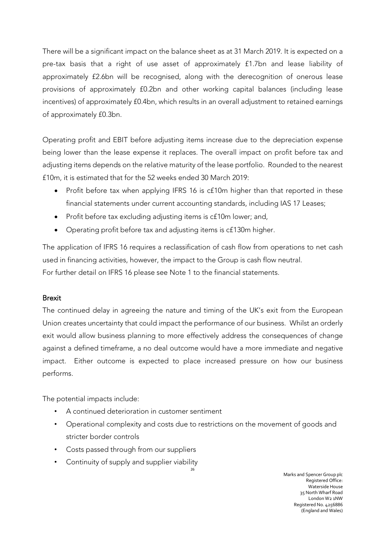There will be a significant impact on the balance sheet as at 31 March 2019. It is expected on a pre-tax basis that a right of use asset of approximately £1.7bn and lease liability of approximately £2.6bn will be recognised, along with the derecognition of onerous lease provisions of approximately £0.2bn and other working capital balances (including lease incentives) of approximately £0.4bn, which results in an overall adjustment to retained earnings of approximately £0.3bn.

Operating profit and EBIT before adjusting items increase due to the depreciation expense being lower than the lease expense it replaces. The overall impact on profit before tax and adjusting items depends on the relative maturity of the lease portfolio. Rounded to the nearest £10m, it is estimated that for the 52 weeks ended 30 March 2019:

- Profit before tax when applying IFRS 16 is c£10m higher than that reported in these financial statements under current accounting standards, including IAS 17 Leases;
- Profit before tax excluding adjusting items is c£10m lower; and,
- Operating profit before tax and adjusting items is c£130m higher.

The application of IFRS 16 requires a reclassification of cash flow from operations to net cash used in financing activities, however, the impact to the Group is cash flow neutral. For further detail on IFRS 16 please see Note 1 to the financial statements.

# Brexit

The continued delay in agreeing the nature and timing of the UK's exit from the European Union creates uncertainty that could impact the performance of our business. Whilst an orderly exit would allow business planning to more effectively address the consequences of change against a defined timeframe, a no deal outcome would have a more immediate and negative impact. Either outcome is expected to place increased pressure on how our business performs.

The potential impacts include:

- A continued deterioration in customer sentiment
- Operational complexity and costs due to restrictions on the movement of goods and stricter border controls

26

- Costs passed through from our suppliers
- Continuity of supply and supplier viability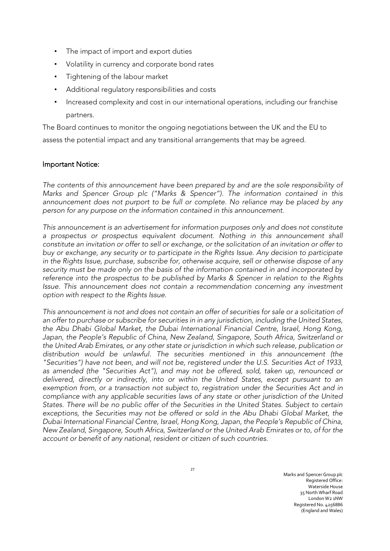- The impact of import and export duties
- Volatility in currency and corporate bond rates
- Tightening of the labour market
- Additional regulatory responsibilities and costs
- Increased complexity and cost in our international operations, including our franchise partners.

The Board continues to monitor the ongoing negotiations between the UK and the EU to assess the potential impact and any transitional arrangements that may be agreed.

## Important Notice:

*The contents of this announcement have been prepared by and are the sole responsibility of Marks and Spencer Group plc ("Marks & Spencer"). The information contained in this*  announcement does not purport to be full or complete. No reliance may be placed by any *person for any purpose on the information contained in this announcement.*

*This announcement is an advertisement for information purposes only and does not constitute*  a prospectus or prospectus equivalent document. Nothing in this announcement shall *constitute an invitation or offer to sell or exchange, or the solicitation of an invitation or offer to buy or exchange, any security or to participate in the Rights Issue. Any decision to participate in the Rights Issue, purchase, subscribe for, otherwise acquire, sell or otherwise dispose of any security must be made only on the basis of the information contained in and incorporated by reference into the prospectus to be published by Marks & Spencer in relation to the Rights Issue. This announcement does not contain a recommendation concerning any investment option with respect to the Rights Issue.*

*This announcement is not and does not contain an offer of securities for sale or a solicitation of an offer to purchase or subscribe for securities in in any jurisdiction, including the United States, the Abu Dhabi Global Market, the Dubai International Financial Centre, Israel, Hong Kong, Japan, the People's Republic of China, New Zealand, Singapore, South Africa, Switzerland or the United Arab Emirates, or any other state or jurisdiction in which such release, publication or distribution would be unlawful. The securities mentioned in this announcement (the "Securities") have not been, and will not be, registered under the U.S. Securities Act of 1933, as amended (the "Securities Act"), and may not be offered, sold, taken up, renounced or delivered, directly or indirectly, into or within the United States, except pursuant to an exemption from, or a transaction not subject to, registration under the Securities Act and in compliance with any applicable securities laws of any state or other jurisdiction of the United States. There will be no public offer of the Securities in the United States. Subject to certain exceptions, the Securities may not be offered or sold in the Abu Dhabi Global Market, the Dubai International Financial Centre, Israel, Hong Kong, Japan, the People's Republic of China, New Zealand, Singapore, South Africa, Switzerland or the United Arab Emirates or to, of for the account or benefit of any national, resident or citizen of such countries.*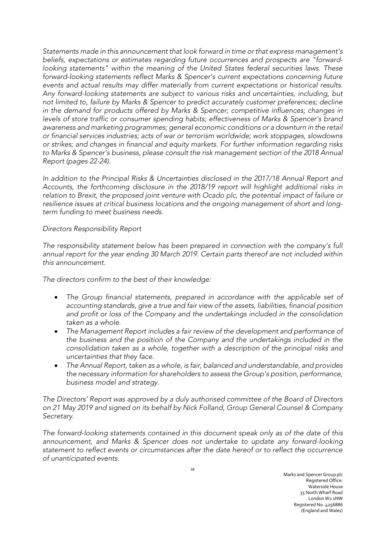*Statements made in this announcement that look forward in time or that express management's beliefs, expectations or estimates regarding future occurrences and prospects are "forward*looking statements" within the meaning of the United States federal securities laws. These *forward-looking statements reflect Marks & Spencer's current expectations concerning future events and actual results may differ materially from current expectations or historical results. Any forward-looking statements are subject to various risks and uncertainties, including, but not limited to, failure by Marks & Spencer to predict accurately customer preferences; decline in the demand for products offered by Marks & Spencer; competitive influences; changes in levels of store traffic or consumer spending habits; effectiveness of Marks & Spencer's brand awareness and marketing programmes; general economic conditions or a downturn in the retail or financial services industries; acts of war or terrorism worldwide; work stoppages, slowdowns or strikes; and changes in financial and equity markets. For further information regarding risks to Marks & Spencer's business, please consult the risk management section of the 2018 Annual Report (pages 22-24).* 

*In addition to the Principal Risks & Uncertainties disclosed in the 2017/18 Annual Report and Accounts, the forthcoming disclosure in the 2018/19 report will highlight additional risks in*  relation to Brexit, the proposed joint venture with Ocado plc, the potential impact of failure or *resilience issues at critical business locations and the ongoing management of short and longterm funding to meet business needs.*

### *Directors Responsibility Report*

*The responsibility statement below has been prepared in connection with the company's full annual report for the year ending 30 March 2019. Certain parts thereof are not included within this announcement.*

*The directors confirm to the best of their knowledge:*

- The Group financial statements, prepared in accordance with the applicable set of *accounting standards, give a true and fair view of the assets, liabilities, financial position and profit or loss of the Company and the undertakings included in the consolidation taken as a whole.*
- *The Management Report includes a fair review of the development and performance of the business and the position of the Company and the undertakings included in the consolidation taken as a whole, together with a description of the principal risks and uncertainties that they face.*
- *The Annual Report, taken as a whole, is fair, balanced and understandable, and provides the necessary information for shareholders to assess the Group's position, performance, business model and strategy.*

*The Directors' Report was approved by a duly authorised committee of the Board of Directors on 21 May 2019 and signed on its behalf by Nick Folland, Group General Counsel & Company Secretary.* 

*The forward-looking statements contained in this document speak only as of the date of this announcement, and Marks & Spencer does not undertake to update any forward-looking statement to reflect events or circumstances after the date hereof or to reflect the occurrence of unanticipated events.*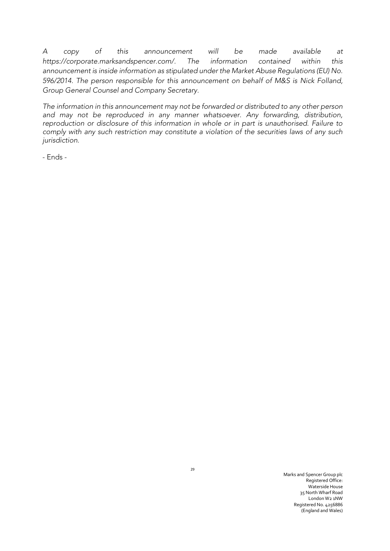*A copy of this announcement will be made available at https://corporate.marksandspencer.com/. The information contained within this announcement is inside information as stipulated under the Market Abuse Regulations (EU) No. 596/2014. The person responsible for this announcement on behalf of M&S is Nick Folland, Group General Counsel and Company Secretary.*

*The information in this announcement may not be forwarded or distributed to any other person and may not be reproduced in any manner whatsoever. Any forwarding, distribution, reproduction or disclosure of this information in whole or in part is unauthorised. Failure to comply with any such restriction may constitute a violation of the securities laws of any such jurisdiction.*

- Ends -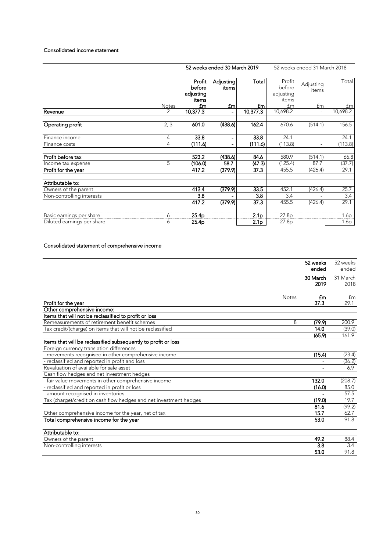#### Consolidated income statement

|                            |               | 52 weeks ended 30 March 2019           |                    |                  | 52 weeks ended 31 March 2018           |                    |                  |
|----------------------------|---------------|----------------------------------------|--------------------|------------------|----------------------------------------|--------------------|------------------|
|                            |               | Profit<br>before<br>adjusting<br>items | Adjusting<br>items | <b>Total</b>     | Profit<br>before<br>adjusting<br>items | Adjusting<br>items | Total            |
|                            | Notes         | £m                                     | <b>fm</b>          | £m               | £m                                     | £m                 | £m               |
| Revenue                    | $\mathcal{P}$ | 10,377.3                               |                    | 10,377.3         | 10,698.2                               |                    | 10,698.2         |
| Operating profit           | 2, 3          | 601.0                                  | (438.6)            | 162.4            | 670.6                                  | (514.1)            | 156.5            |
| Finance income             | 4             | 33.8                                   |                    | 33.8             | 24.1                                   |                    | 24.1             |
| Finance costs              | 4             | (111.6)                                |                    | (111.6)          | (113.8)                                |                    | (113.8)          |
| Profit before tax          |               | 523.2                                  | (438.6)            | 84.6             | 580.9                                  | (514.1)            | 66.8             |
| Income tax expense         | 5             | (106.0)                                | 58.7               | (47.3)           | (125.4)                                | 87.7               | (37.7)           |
| Profit for the year        |               | 417.2                                  | (379.9)            | 37.3             | 455.5                                  | (426.4)            | 29.1             |
| Attributable to:           |               |                                        |                    |                  |                                        |                    |                  |
| Owners of the parent       |               | 413.4                                  | (379.9)            | 33.5             | 452.1                                  | (426.4)            | 25.7             |
| Non-controlling interests  |               | 3.8                                    |                    | 3.8              | 3.4                                    |                    | 3.4              |
|                            |               | 417.2                                  | (379.9)            | 37.3             | 455.5                                  | (426.4)            | 29.1             |
| Basic earnings per share   | 6             | 25.4 <sub>p</sub>                      |                    | 2.1 <sub>p</sub> | 27.8p                                  |                    | 1.6p             |
| Diluted earnings per share | 6             | 25.4 <sub>p</sub>                      |                    | 2.1 <sub>p</sub> | 27.8p                                  |                    | 1.6 <sub>p</sub> |

### Consolidated statement of comprehensive income

|                                                                   |              | 52 weeks<br>ended | 52 weeks<br>ended |
|-------------------------------------------------------------------|--------------|-------------------|-------------------|
|                                                                   |              | 30 March<br>2019  | 31 March<br>2018  |
|                                                                   | <b>Notes</b> | £m                | £m                |
| Profit for the year                                               |              | 37.3              | 29.1              |
| Other comprehensive income:                                       |              |                   |                   |
| Items that will not be reclassified to profit or loss             |              |                   |                   |
| Remeasurements of retirement benefit schemes                      | 8            | (79.9)            | 200.9             |
| Tax credit/(charge) on items that will not be reclassified        |              | 14.0              | (39.0)            |
|                                                                   |              | (65.9)            | 161.9             |
| Items that will be reclassified subsequently to profit or loss    |              |                   |                   |
| Foreign currency translation differences                          |              |                   |                   |
| - movements recognised in other comprehensive income              |              | (15.4)            | (23.4)            |
| - reclassified and reported in profit and loss                    |              |                   | (36.2)            |
| Revaluation of available for sale asset                           |              |                   | 6.9               |
| Cash flow hedges and net investment hedges                        |              |                   |                   |
| - fair value movements in other comprehensive income              |              | 132.0             | (208.7)           |
| - reclassified and reported in profit or loss                     |              | (16.0)            | 85.0              |
| - amount recognised in inventories                                |              |                   | 57.5              |
| Tax (charge)/credit on cash flow hedges and net investment hedges |              | (19.0)            | 19.7              |
|                                                                   |              | 81.6              | (99.2)            |
| Other comprehensive income for the year, net of tax               |              | 15.7              | 62.7              |
| Total comprehensive income for the year                           |              | 53.0              | 91.8              |
|                                                                   |              |                   |                   |
| Attributable to:                                                  |              |                   |                   |
| Owners of the parent                                              |              | 49.2              | 88.4              |
| Non-controlling interests                                         |              | 3.8               | 3.4               |
|                                                                   |              | 53.0              | 91.8              |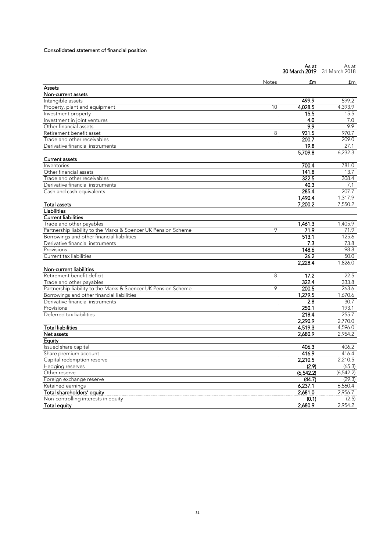### Consolidated statement of financial position

|                                                                |              | As at<br>30 March 2019 | As at<br>31 March 2018 |
|----------------------------------------------------------------|--------------|------------------------|------------------------|
|                                                                | <b>Notes</b> | £m                     | £m                     |
| Assets                                                         |              |                        |                        |
| Non-current assets                                             |              |                        |                        |
| Intangible assets                                              |              | 499.9                  | 599.2                  |
| Property, plant and equipment                                  | 10           | 4,028.5                | 4,393.9                |
| Investment property                                            |              | 15.5                   | 15.5                   |
| Investment in joint ventures                                   |              | 4.0                    | 7.0                    |
| Other financial assets                                         |              | 9.9                    | 9.9                    |
| Retirement benefit asset                                       | 8            | 931.5                  | 970.7                  |
| Trade and other receivables                                    |              | 200.7                  | 209.0                  |
| Derivative financial instruments                               |              | 19.8                   | 27.1                   |
|                                                                |              | 5,709.8                | 6,232.3                |
| <b>Current assets</b>                                          |              |                        |                        |
| Inventories                                                    |              | 700.4                  | 781.0                  |
| Other financial assets                                         |              | 141.8                  | 13.7                   |
| Trade and other receivables                                    |              | 322.5                  | 308.4                  |
| Derivative financial instruments                               |              | 40.3                   | 7.1                    |
| Cash and cash equivalents                                      |              | 285.4                  | 207.7                  |
|                                                                |              | 1,490.4                | 1.317.9                |
| <b>Total assets</b>                                            |              | 7,200.2                | 7,550.2                |
| Liabilities                                                    |              |                        |                        |
| <b>Current liabilities</b>                                     |              |                        |                        |
| Trade and other payables                                       |              | 1,461.3                | 1,405.9                |
| Partnership liability to the Marks & Spencer UK Pension Scheme | 9            | 71.9                   | 71.9                   |
| Borrowings and other financial liabilities                     |              | 513.1                  | 125.6                  |
| Derivative financial instruments                               |              | 7.3                    | 73.8                   |
| Provisions                                                     |              | 148.6                  | 98.8                   |
| Current tax liabilities                                        |              | 26.2                   | 50.0                   |
|                                                                |              | 2,228.4                | 1.826.0                |
| Non-current liabilities                                        |              |                        |                        |
| Retirement benefit deficit                                     | 8            | 17.2                   | 22.5                   |
| Trade and other payables                                       |              | 322.4                  | 333.8                  |
| Partnership liability to the Marks & Spencer UK Pension Scheme | 9            | 200.5                  | 263.6                  |
| Borrowings and other financial liabilities                     |              | 1,279.5                | 1,670.6                |
| Derivative financial instruments                               |              | 2.8                    | 30.7                   |
| Provisions                                                     |              | 250.1                  | 193.1                  |
| Deferred tax liabilities                                       |              | 218.4                  | 255.7                  |
|                                                                |              | 2,290.9                | 2,770.0                |
| <b>Total liabilities</b>                                       |              | 4,519.3                | 4,596.0                |
| Net assets                                                     |              | 2,680.9                | 2,954.2                |
| Equity                                                         |              |                        |                        |
| Issued share capital                                           |              | 406.3                  | 406.2                  |
| Share premium account                                          |              | 416.9                  | 416.4                  |
| Capital redemption reserve                                     |              | 2,210.5                | 2,210.5                |
| Hedging reserves                                               |              | (2.9)                  | (65.3)                 |
| Other reserve                                                  |              | (6, 542.2)             | (6, 542.2)             |
| Foreign exchange reserve                                       |              | (44.7)                 | (29.3)                 |
| Retained earnings                                              |              | 6,237.1                | 6,560.4                |
| Total shareholders' equity                                     |              | 2,681.0                | 2,956.7                |
| Non-controlling interests in equity                            |              | (0.1)                  | (2.5)                  |
| <b>Total equity</b>                                            |              | 2,680.9                | 2,954.2                |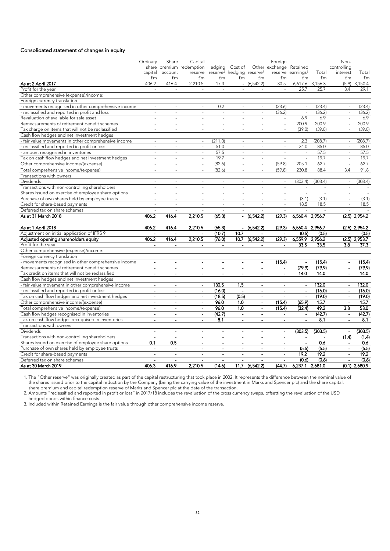### Consolidated statement of changes in equity

|                                                      | Ordinary                 | Share                    | Capital                          |                                                           |                          |                          | Foreign                  |                          |                 | Non-                     |                 |
|------------------------------------------------------|--------------------------|--------------------------|----------------------------------|-----------------------------------------------------------|--------------------------|--------------------------|--------------------------|--------------------------|-----------------|--------------------------|-----------------|
|                                                      |                          |                          | share premium redemption Hedging |                                                           | Cost of                  |                          | Other exchange Retained  |                          |                 | controlling              |                 |
|                                                      | capital                  | account                  |                                  | reserve reserve <sup>2</sup> hedging reserve <sup>1</sup> |                          |                          |                          | reserve earnings $3$     | Total           | interest                 | Total           |
|                                                      | £m                       | £m                       | £m                               | £m                                                        | £m                       | £m                       | £m                       | £m                       | £m              | £m                       | £m              |
| As at 2 April 2017                                   | 406.2                    | 416.4                    | 2,210.5                          | 17.3                                                      |                          | $-(6,542.2)$             | 30.5                     |                          | 6,617.6 3,156.3 |                          | $(5.9)$ 3,150.4 |
| Profit for the year                                  | $\sim$                   | $\overline{\phantom{a}}$ | $\sim$                           | ÷,                                                        | ÷,                       | $\sim$                   | $\sim$                   | 25.7                     | 25.7            | 3.4                      | 29.1            |
| Other comprehensive (expense)/income:                |                          |                          |                                  |                                                           |                          |                          |                          |                          |                 |                          |                 |
| Foreign currency translation                         |                          |                          |                                  |                                                           |                          |                          |                          |                          |                 |                          |                 |
| - movements recognised in other comprehensive income | ÷.                       |                          | ÷.                               | 0.2                                                       | $\overline{a}$           | ÷.                       | (23.6)                   | $\sim$                   | (23.4)          | ÷.                       | (23.4)          |
| - reclassified and reported in profit and loss       | ÷,                       | ä,                       |                                  | $\sim$                                                    | ÷,                       | ÷,                       | (36.2)                   | $\sim$                   | (36.2)          |                          | (36.2)          |
| Revaluation of available for sale asset              | ÷.                       | $\sim$                   | $\sim$                           | $\sim$                                                    | $\sim$                   | ÷.                       | $\omega$                 | 6.9                      | 6.9             | $\overline{\phantom{a}}$ | 6.9             |
| Remeasurements of retirement benefit schemes         |                          | $\overline{a}$           |                                  | $\overline{a}$                                            |                          | $\sim$                   | ÷,                       | 200.9                    | 200.9           | $\sim$                   | 200.9           |
| Tax charge on items that will not be reclassified    | ÷,                       | $\sim$                   | ÷.                               | L.                                                        | $\sim$                   | ÷.                       | $\sim$                   | (39.0)                   | (39.0)          | $\sim$                   | (39.0)          |
| Cash flow hedges and net investment hedges           |                          |                          |                                  |                                                           |                          |                          |                          |                          |                 |                          |                 |
| - fair value movements in other comprehensive income | $\sim$                   | $\sim$                   | $\sim$                           | (211.0)                                                   | $\sim$                   | $\sim$                   | $\sim$                   | 2.3                      | (208.7)         |                          | (208.7)         |
|                                                      | ä,                       | $\overline{a}$           | $\sim$                           | 51.0                                                      | ÷,                       | $\sim$                   |                          | 34.0                     | 85.0            | $\overline{\phantom{a}}$ | 85.0            |
| - reclassified and reported in profit or loss        |                          |                          |                                  |                                                           |                          |                          | $\overline{\phantom{a}}$ |                          |                 |                          |                 |
| amount recognised in inventories                     | $\sim$                   | $\sim$                   | $\sim$                           | 57.5                                                      | $\sim$                   | ÷.                       | $\overline{\phantom{a}}$ | $\mathbb{Z}$             | 57.5            | $\sim$                   | 57.5            |
| Tax on cash flow hedges and net investment hedges    | L,                       | ÷,                       | $\sim$                           | 19.7                                                      | ÷,                       | ÷,                       | $\overline{\phantom{a}}$ | $\overline{\phantom{a}}$ | 19.7            | ÷,                       | 19.7            |
| Other comprehensive income/(expense)                 | $\sim$                   | $\sim$                   | ÷                                | (82.6)                                                    | $\bar{\phantom{a}}$      | $\sim$                   | (59.8)                   | 205.1                    | 62.7            | $\bar{\phantom{a}}$      | 62.7            |
| Total comprehensive income/(expense)                 | $\overline{a}$           | $\overline{\phantom{a}}$ |                                  | (82.6)                                                    | ÷,                       | $\sim$                   | (59.8)                   | 230.8                    | 88.4            | 3.4                      | 91.8            |
| Transactions with owners:                            |                          |                          |                                  |                                                           |                          |                          |                          |                          |                 |                          |                 |
| Dividends                                            | ÷.                       | ÷.                       | ÷.                               | ÷,                                                        | ÷.                       | ÷.                       | ÷,                       | (303.4)                  | (303.4)         | $\sim$                   | (303.4)         |
| Transactions with non-controlling shareholders       |                          |                          |                                  |                                                           |                          |                          |                          |                          |                 |                          |                 |
| Shares issued on exercise of employee share options  | ÷.                       | $\sim$                   | $\sim$                           | $\sim$                                                    | $\sim$                   | $\sim$                   | $\sim$                   | $\sim$                   | ÷,              | $\sim$                   | $\sim$          |
| Purchase of own shares held by employee trusts       |                          |                          |                                  |                                                           |                          |                          | $\sim$                   | (3.1)                    | (3.1)           | $\sim$                   | (3.1)           |
| Credit for share-based payments                      | $\sim$                   | ÷.                       | ÷.                               | ÷,                                                        | $\sim$                   | ÷.                       | $\sim$                   | 18.5                     | 18.5            | $\sim$                   | 18.5            |
| Deferred tax on share schemes                        |                          |                          |                                  |                                                           | ÷,                       |                          |                          | $\overline{\phantom{a}}$ |                 |                          | $\sim$          |
| As at 31 March 2018                                  | 406.2                    | 416.4                    | 2,210.5                          | (65.3)                                                    | $\overline{a}$           | (6,542.2)                | (29.3)                   | 6,560.4                  | 2,956.7         |                          | $(2.5)$ 2,954.2 |
|                                                      |                          |                          |                                  |                                                           |                          |                          |                          |                          |                 |                          |                 |
| As at 1 April 2018                                   | 406.2                    | 416.4                    | 2,210.5                          | (65.3)                                                    | $\blacksquare$           | (6,542.2)                | (29.3)                   | 6,560.4 2,956.7          |                 |                          | $(2.5)$ 2,954.2 |
| Adjustment on initial application of IFRS 9          |                          | $\overline{a}$           | $\blacksquare$                   | (10.7)                                                    | 10.7                     | $\overline{a}$           | $\overline{a}$           | (0.5)                    | (0.5)           |                          | (0.5)           |
| Adjusted opening shareholders equity                 | 406.2                    | 416.4                    | 2,210.5                          | (76.0)                                                    | 10.7                     | (6, 542.2)               | (29.3)                   | 6,559.9 2,956.2          |                 |                          | $(2.5)$ 2,953.7 |
| Profit for the year                                  | $\overline{\phantom{a}}$ | $\blacksquare$           | $\blacksquare$                   | $\blacksquare$                                            | $\overline{a}$           | $\overline{\phantom{a}}$ | $\overline{a}$           | 33.5                     | 33.5            | 3.8                      | 37.3            |
| Other comprehensive (expense)/income:                |                          |                          |                                  |                                                           |                          |                          |                          |                          |                 |                          |                 |
| Foreign currency translation                         |                          |                          |                                  |                                                           |                          |                          |                          |                          |                 |                          |                 |
| - movements recognised in other comprehensive income | $\overline{\phantom{a}}$ |                          | $\overline{a}$                   |                                                           |                          | $\overline{\phantom{a}}$ | (15.4)                   |                          | (15.4)          | $\sim$                   | (15.4)          |
| Remeasurements of retirement benefit schemes         | $\overline{\phantom{a}}$ | $\blacksquare$           | $\blacksquare$                   | $\blacksquare$                                            | $\overline{\phantom{a}}$ | $\overline{\phantom{a}}$ | $\blacksquare$           | (79.9)                   | (79.9)          | $\overline{\phantom{a}}$ | (79.9)          |
| Tax credit on items that will not be reclassified    | $\blacksquare$           | $\overline{\phantom{a}}$ | $\overline{a}$                   |                                                           |                          | $\overline{a}$           | $\blacksquare$           | 14.0                     | 14.0            |                          | 14.0            |
| Cash flow hedges and net investment hedges           |                          |                          |                                  |                                                           |                          |                          |                          |                          |                 |                          |                 |
| - fair value movement in other comprehensive income  | $\blacksquare$           | $\blacksquare$           | $\blacksquare$                   | 130.5                                                     | 1.5                      | $\overline{\phantom{a}}$ |                          |                          | 132.0           | $\blacksquare$           | 132.0           |
| - reclassified and reported in profit or loss        | $\overline{\phantom{a}}$ | $\overline{\phantom{a}}$ | $\blacksquare$                   | (16.0)                                                    | $\blacksquare$           | $\overline{\phantom{a}}$ | $\blacksquare$           | ۰                        | (16.0)          | $\blacksquare$           | (16.0)          |
| Tax on cash flow hedges and net investment hedges    | $\overline{\phantom{a}}$ | $\overline{\phantom{a}}$ | $\blacksquare$                   | (18.5)                                                    | (0.5)                    | $\blacksquare$           |                          |                          | (19.0)          | $\blacksquare$           | (19.0)          |
| Other comprehensive income/(expense)                 | $\overline{a}$           | $\overline{a}$           | $\blacksquare$                   | 96.0                                                      | 1.0                      | $\Delta$                 | (15.4)                   | (65.9)                   | 15.7            | $\sim$                   | 15.7            |
| Total comprehensive income/(expense)                 | $\blacksquare$           | $\blacksquare$           | $\blacksquare$                   | 96.0                                                      | 1.0                      | ÷,                       | (15.4)                   | (32.4)                   | 49.2            | 3.8                      | 53.0            |
| Cash flow hedges recognised in inventories           | $\blacksquare$           | $\blacksquare$           | $\blacksquare$                   | (42.7)                                                    | $\blacksquare$           | $\overline{\phantom{a}}$ | $\blacksquare$           | $\blacksquare$           | (42.7)          | $\Box$                   | (42.7)          |
|                                                      |                          |                          |                                  |                                                           |                          |                          |                          |                          |                 |                          |                 |
| Tax on cash flow hedges recognised in inventories    | $\overline{\phantom{a}}$ | $\overline{\phantom{a}}$ | $\blacksquare$                   | 8.1                                                       | $\blacksquare$           | $\overline{\phantom{a}}$ | $\overline{\phantom{a}}$ | $\blacksquare$           | 8.1             | $\blacksquare$           | 8.1             |
| Transactions with owners:                            |                          |                          |                                  |                                                           |                          |                          |                          |                          |                 |                          |                 |
| <b>Dividends</b>                                     | $\overline{\phantom{a}}$ | $\blacksquare$           | $\blacksquare$                   |                                                           | $\overline{\phantom{a}}$ | $\overline{\phantom{a}}$ | $\blacksquare$           | (303.5)                  | (303.5)         | $\overline{\phantom{a}}$ | (303.5)         |
| Transactions with non-controlling shareholders       |                          |                          | $\overline{a}$                   |                                                           | $\blacksquare$           | $\blacksquare$           |                          |                          |                 | (1.4)                    | (1.4)           |
| Shares issued on exercise of employee share options  | 0.1                      | 0.5                      | $\blacksquare$                   | $\blacksquare$                                            | $\overline{\phantom{a}}$ | $\blacksquare$           | $\overline{\phantom{a}}$ | $\blacksquare$           | 0.6             | $\blacksquare$           | 0.6             |
| Purchase of own shares held by employee trusts       |                          |                          |                                  |                                                           |                          |                          | $\blacksquare$           | (5.5)                    | (5.5)           | $\blacksquare$           | (5.5)           |
| Credit for share-based payments                      |                          |                          | $\blacksquare$                   | $\overline{\phantom{a}}$                                  | $\overline{\phantom{a}}$ | $\overline{\phantom{a}}$ | $\overline{\phantom{a}}$ | 19.2                     | 19.2            | $\overline{a}$           | 19.2            |
| Deferred tax on share schemes                        |                          |                          |                                  |                                                           |                          |                          |                          | (0.6)                    | (0.6)           | $\overline{\phantom{a}}$ | (0.6)           |
| As at 30 March 2019                                  | 406.3                    | 416.9                    | 2,210.5                          | (14.6)                                                    | 11.7                     | (6,542.2)                | (44.7)                   | 6,237.1                  | 2,681.0         |                          | $(0.1)$ 2,680.9 |

1. The "Other reserve" was originally created as part of the capital restructuring that took place in 2002. It represents the difference between the nominal value of the shares issued prior to the capital reduction by the Company (being the carrying value of the investment in Marks and Spencer plc) and the share capital, share premium and capital redemption reserve of Marks and Spencer plc at the date of the transaction.

2. Amounts "reclassified and reported in profit or loss" in 2017/18 includes the revaluation of the cross currency swaps, offsetting the revaluation of the USD hedged bonds within finance costs.

3. Included within Retained Earnings is the fair value through other comprehensive income reserve.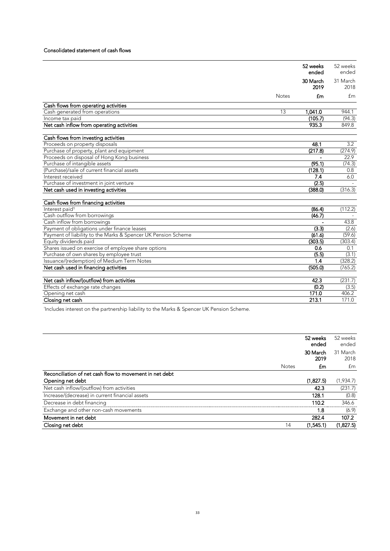### Consolidated statement of cash flows

|                                                               |              | 52 weeks | 52 weeks |
|---------------------------------------------------------------|--------------|----------|----------|
|                                                               |              | ended    | ended    |
|                                                               |              | 30 March | 31 March |
|                                                               |              | 2019     | 2018     |
|                                                               | <b>Notes</b> | £m       | £m       |
| Cash flows from operating activities                          |              |          |          |
| Cash generated from operations                                | 13           | 1.041.0  | 944.1    |
| Income tax paid                                               |              | (105.7)  | (94.3)   |
| Net cash inflow from operating activities                     |              | 935.3    | 849.8    |
|                                                               |              |          |          |
| Cash flows from investing activities                          |              |          |          |
| Proceeds on property disposals                                |              | 48.1     | 3.2      |
| Purchase of property, plant and equipment                     |              | (217.8)  | (274.9)  |
| Proceeds on disposal of Hong Kong business                    |              |          | 22.9     |
| Purchase of intangible assets                                 |              | (95.1)   | (74.3)   |
| (Purchase)/sale of current financial assets                   |              | (128.1)  | 0.8      |
| Interest received                                             |              | 7.4      | 6.0      |
| Purchase of investment in joint venture                       |              | (2.5)    |          |
| Net cash used in investing activities                         |              | (388.0)  | (316.3)  |
|                                                               |              |          |          |
| Cash flows from financing activities                          |              |          |          |
| Interest paid <sup>1</sup>                                    |              | (86.4)   | (112.2)  |
| Cash outflow from borrowings                                  |              | (46.7)   |          |
| Cash inflow from borrowings                                   |              |          | 43.8     |
| Payment of obligations under finance leases                   |              | (3.3)    | (2.6)    |
| Payment of liability to the Marks & Spencer UK Pension Scheme |              | (61.6)   | (59.6)   |
| Equity dividends paid                                         |              | (303.5)  | (303.4)  |
| Shares issued on exercise of employee share options           |              | 0.6      | 0.1      |
| Purchase of own shares by employee trust                      |              | (5.5)    | (3.1)    |
| Issuance/(redemption) of Medium Term Notes                    |              | 1.4      | (328.2)  |
| Net cash used in financing activities                         |              | (505.0)  | (765.2)  |
|                                                               |              |          |          |
| Net cash inflow/(outflow) from activities                     |              | 42.3     | (231.7)  |
| Effects of exchange rate changes                              |              | (0.2)    | (3.5)    |
| Opening net cash                                              |              | 171.0    | 406.2    |
| Closing net cash                                              |              | 213.1    | 171.0    |

Includes interest on the partnership liability to the Marks & Spencer UK Pension Scheme.

|                                                         | 52 weeks<br>ended | 52 weeks<br>ended |
|---------------------------------------------------------|-------------------|-------------------|
|                                                         | 30 March<br>2019  | 31 March<br>2018  |
| <b>Notes</b>                                            | £m                | £m                |
| Reconciliation of net cash flow to movement in net debt |                   |                   |
| Opening net debt                                        | (1,827.5)         | (1,934.7)         |
| Net cash inflow/(outflow) from activities               | 42.3              | (231.7)           |
| Increase/(decrease) in current financial assets         | 128.1             | (0.8)             |
| Decrease in debt financing                              | 110.2             | 346.6             |
| Exchange and other non-cash movements                   | 1.8               | (6.9)             |
| Movement in net debt                                    | 282.4             | 107.2             |
| Closing net debt<br>14                                  | (1,545.1)         | (1,827.5)         |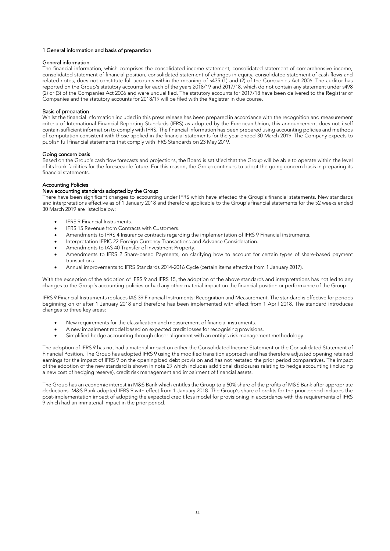#### 1 General information and basis of preparation

#### General information

The financial information, which comprises the consolidated income statement, consolidated statement of comprehensive income, consolidated statement of financial position, consolidated statement of changes in equity, consolidated statement of cash flows and related notes, does not constitute full accounts within the meaning of s435 (1) and (2) of the Companies Act 2006. The auditor has reported on the Group's statutory accounts for each of the years 2018/19 and 2017/18, which do not contain any statement under s498 (2) or (3) of the Companies Act 2006 and were unqualified. The statutory accounts for 2017/18 have been delivered to the Registrar of Companies and the statutory accounts for 2018/19 will be filed with the Registrar in due course.

#### Basis of preparation

Whilst the financial information included in this press release has been prepared in accordance with the recognition and measurement criteria of International Financial Reporting Standards (IFRS) as adopted by the European Union, this announcement does not itself contain sufficient information to comply with IFRS. The financial information has been prepared using accounting policies and methods of computation consistent with those applied in the financial statements for the year ended 30 March 2019. The Company expects to publish full financial statements that comply with IFRS Standards on 23 May 2019.

#### Going concern basis

Based on the Group's cash flow forecasts and projections, the Board is satisfied that the Group will be able to operate within the level of its bank facilities for the foreseeable future. For this reason, the Group continues to adopt the going concern basis in preparing its financial statements.

#### Accounting Policies

#### New accounting standards adopted by the Group

There have been significant changes to accounting under IFRS which have affected the Group's financial statements. New standards and interpretations effective as of 1 January 2018 and therefore applicable to the Group's financial statements for the 52 weeks ended 30 March 2019 are listed below:

- IFRS 9 Financial Instruments.
- IFRS 15 Revenue from Contracts with Customers.
- Amendments to IFRS 4 Insurance contracts regarding the implementation of IFRS 9 Financial instruments.
- Interpretation IFRIC 22 Foreign Currency Transactions and Advance Consideration.
- Amendments to IAS 40 Transfer of Investment Property.
- Amendments to IFRS 2 Share-based Payments, on clarifying how to account for certain types of share-based payment transactions.
- Annual improvements to IFRS Standards 2014-2016 Cycle (certain items effective from 1 January 2017).

With the exception of the adoption of IFRS 9 and IFRS 15, the adoption of the above standards and interpretations has not led to any changes to the Group's accounting policies or had any other material impact on the financial position or performance of the Group.

IFRS 9 Financial Instruments replaces IAS 39 Financial Instruments: Recognition and Measurement. The standard is effective for periods beginning on or after 1 January 2018 and therefore has been implemented with effect from 1 April 2018. The standard introduces changes to three key areas:

- New requirements for the classification and measurement of financial instruments.
- A new impairment model based on expected credit losses for recognising provisions.
- Simplified hedge accounting through closer alignment with an entity's risk management methodology.

The adoption of IFRS 9 has not had a material impact on either the Consolidated Income Statement or the Consolidated Statement of Financial Position. The Group has adopted IFRS 9 using the modified transition approach and has therefore adjusted opening retained earnings for the impact of IFRS 9 on the opening bad debt provision and has not restated the prior period comparatives. The impact of the adoption of the new standard is shown in note 29 which includes additional disclosures relating to hedge accounting (including a new cost of hedging reserve), credit risk management and impairment of financial assets.

The Group has an economic interest in M&S Bank which entitles the Group to a 50% share of the profits of M&S Bank after appropriate deductions. M&S Bank adopted IFRS 9 with effect from 1 January 2018. The Group's share of profits for the prior period includes the post-implementation impact of adopting the expected credit loss model for provisioning in accordance with the requirements of IFRS 9 which had an immaterial impact in the prior period.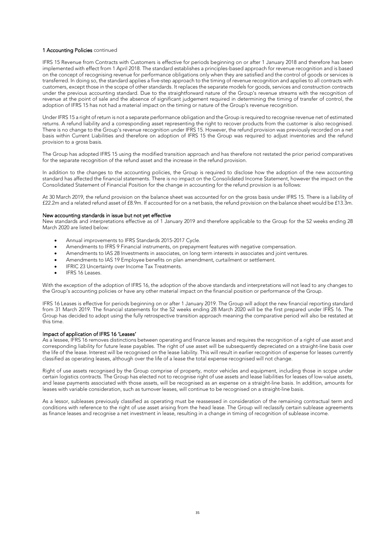#### 1 Accounting Policies continued

IFRS 15 Revenue from Contracts with Customers is effective for periods beginning on or after 1 January 2018 and therefore has been implemented with effect from 1 April 2018. The standard establishes a principles-based approach for revenue recognition and is based on the concept of recognising revenue for performance obligations only when they are satisfied and the control of goods or services is transferred. In doing so, the standard applies a five-step approach to the timing of revenue recognition and applies to all contracts with customers, except those in the scope of other standards. It replaces the separate models for goods, services and construction contracts under the previous accounting standard. Due to the straightforward nature of the Group's revenue streams with the recognition of revenue at the point of sale and the absence of significant judgement required in determining the timing of transfer of control, the adoption of IFRS 15 has not had a material impact on the timing or nature of the Group's revenue recognition.

Under IFRS 15 a right of return is not a separate performance obligation and the Group is required to recognise revenue net of estimated returns. A refund liability and a corresponding asset representing the right to recover products from the customer is also recognised. There is no change to the Group's revenue recognition under IFRS 15. However, the refund provision was previously recorded on a net basis within Current Liabilities and therefore on adoption of IFRS 15 the Group was required to adjust inventories and the refund provision to a gross basis.

The Group has adopted IFRS 15 using the modified transition approach and has therefore not restated the prior period comparatives for the separate recognition of the refund asset and the increase in the refund provision.

In addition to the changes to the accounting policies, the Group is required to disclose how the adoption of the new accounting standard has affected the financial statements. There is no impact on the Consolidated Income Statement, however the impact on the Consolidated Statement of Financial Position for the change in accounting for the refund provision is as follows:

At 30 March 2019, the refund provision on the balance sheet was accounted for on the gross basis under IFRS 15. There is a liability of £22.2m and a related refund asset of £8.9m. If accounted for on a net basis, the refund provision on the balance sheet would be £13.3m.

#### New accounting standards in issue but not yet effective

New standards and interpretations effective as of 1 January 2019 and therefore applicable to the Group for the 52 weeks ending 28 March 2020 are listed below:

- Annual improvements to IFRS Standards 2015-2017 Cycle.
- Amendments to IFRS 9 Financial instruments, on prepayment features with negative compensation.
- Amendments to IAS 28 Investments in associates, on long term interests in associates and joint ventures.
- Amendments to IAS 19 Employee benefits on plan amendment, curtailment or settlement.
- IFRIC 23 Uncertainty over Income Tax Treatments.
- IFRS 16 Leases.

With the exception of the adoption of IFRS 16, the adoption of the above standards and interpretations will not lead to any changes to the Group's accounting policies or have any other material impact on the financial position or performance of the Group.

IFRS 16 Leases is effective for periods beginning on or after 1 January 2019. The Group will adopt the new financial reporting standard from 31 March 2019. The financial statements for the 52 weeks ending 28 March 2020 will be the first prepared under IFRS 16. The Group has decided to adopt using the fully retrospective transition approach meaning the comparative period will also be restated at this time.

#### Impact of application of IFRS 16 'Leases'

As a lessee, IFRS 16 removes distinctions between operating and finance leases and requires the recognition of a right of use asset and corresponding liability for future lease payables. The right of use asset will be subsequently depreciated on a straight-line basis over the life of the lease. Interest will be recognised on the lease liability. This will result in earlier recognition of expense for leases currently classified as operating leases, although over the life of a lease the total expense recognised will not change.

Right of use assets recognised by the Group comprise of property, motor vehicles and equipment, including those in scope under certain logistics contracts. The Group has elected not to recognise right of use assets and lease liabilities for leases of low-value assets, and lease payments associated with those assets, will be recognised as an expense on a straight-line basis. In addition, amounts for leases with variable consideration, such as turnover leases, will continue to be recognised on a straight-line basis.

As a lessor, subleases previously classified as operating must be reassessed in consideration of the remaining contractual term and conditions with reference to the right of use asset arising from the head lease. The Group will reclassify certain sublease agreements as finance leases and recognise a net investment in lease, resulting in a change in timing of recognition of sublease income.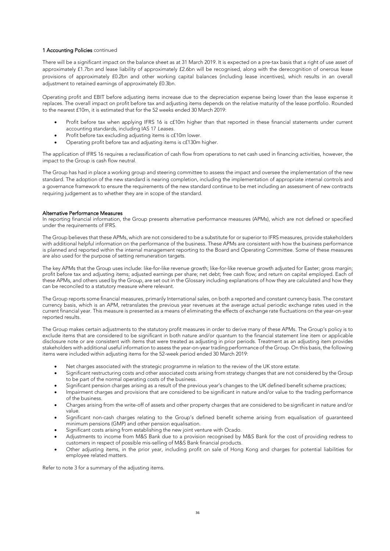#### 1 Accounting Policies continued

There will be a significant impact on the balance sheet as at 31 March 2019. It is expected on a pre-tax basis that a right of use asset of approximately £1.7bn and lease liability of approximately £2.6bn will be recognised, along with the derecognition of onerous lease provisions of approximately £0.2bn and other working capital balances (including lease incentives), which results in an overall adjustment to retained earnings of approximately £0.3bn.

Operating profit and EBIT before adjusting items increase due to the depreciation expense being lower than the lease expense it replaces. The overall impact on profit before tax and adjusting items depends on the relative maturity of the lease portfolio. Rounded to the nearest £10m, it is estimated that for the 52 weeks ended 30 March 2019:

- Profit before tax when applying IFRS 16 is c£10m higher than that reported in these financial statements under current accounting standards, including IAS 17 *Leases*.
- Profit before tax excluding adjusting items is c£10m lower.
- Operating profit before tax and adjusting items is c£130m higher.

The application of IFRS 16 requires a reclassification of cash flow from operations to net cash used in financing activities, however, the impact to the Group is cash flow neutral.

The Group has had in place a working group and steering committee to assess the impact and oversee the implementation of the new standard. The adoption of the new standard is nearing completion, including the implementation of appropriate internal controls and a governance framework to ensure the requirements of the new standard continue to be met including an assessment of new contracts requiring judgement as to whether they are in scope of the standard.

#### Alternative Performance Measures

In reporting financial information, the Group presents alternative performance measures (APMs), which are not defined or specified under the requirements of IFRS.

The Group believes that these APMs, which are not considered to be a substitute for or superior to IFRS measures, provide stakeholders with additional helpful information on the performance of the business. These APMs are consistent with how the business performance is planned and reported within the internal management reporting to the Board and Operating Committee. Some of these measures are also used for the purpose of setting remuneration targets.

The key APMs that the Group uses include: like-for-like revenue growth; like-for-like revenue growth adjusted for Easter; gross margin; profit before tax and adjusting items; adjusted earnings per share; net debt; free cash flow; and return on capital employed. Each of these APMs, and others used by the Group, are set out in the Glossary including explanations of how they are calculated and how they can be reconciled to a statutory measure where relevant.

The Group reports some financial measures, primarily International sales, on both a reported and constant currency basis. The constant currency basis, which is an APM, retranslates the previous year revenues at the average actual periodic exchange rates used in the current financial year. This measure is presented as a means of eliminating the effects of exchange rate fluctuations on the year-on-year reported results.

The Group makes certain adjustments to the statutory profit measures in order to derive many of these APMs. The Group's policy is to exclude items that are considered to be significant in both nature and/or quantum to the financial statement line item or applicable disclosure note or are consistent with items that were treated as adjusting in prior periods. Treatment as an adjusting item provides stakeholders with additional useful information to assess the year-on-year trading performance of the Group. On this basis, the following items were included within adjusting items for the 52-week period ended 30 March 2019:

- Net charges associated with the strategic programme in relation to the review of the UK store estate.
- Significant restructuring costs and other associated costs arising from strategy changes that are not considered by the Group to be part of the normal operating costs of the business.
- Significant pension charges arising as a result of the previous year's changes to the UK defined benefit scheme practices;
- Impairment charges and provisions that are considered to be significant in nature and/or value to the trading performance of the business.
- Charges arising from the write-off of assets and other property charges that are considered to be significant in nature and/or value.
- Significant non-cash charges relating to the Group's defined benefit scheme arising from equalisation of guaranteed minimum pensions (GMP) and other pension equalisation.
- Significant costs arising from establishing the new joint venture with Ocado.
- Adjustments to income from M&S Bank due to a provision recognised by M&S Bank for the cost of providing redress to customers in respect of possible mis-selling of M&S Bank financial products.
- Other adjusting items, in the prior year, including profit on sale of Hong Kong and charges for potential liabilities for employee related matters.

Refer to note 3 for a summary of the adjusting items.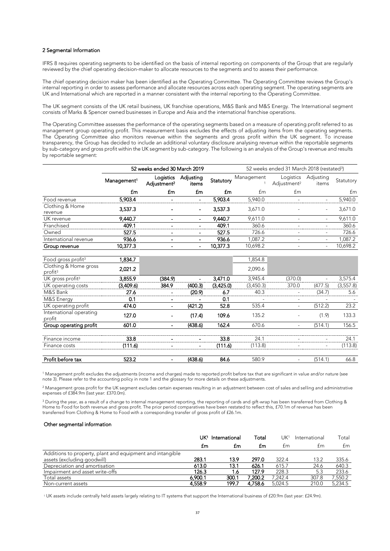#### 2 Segmental Information

IFRS 8 requires operating segments to be identified on the basis of internal reporting on components of the Group that are regularly reviewed by the chief operating decision-maker to allocate resources to the segments and to assess their performance.

The chief operating decision maker has been identified as the Operating Committee. The Operating Committee reviews the Group's internal reporting in order to assess performance and allocate resources across each operating segment. The operating segments are UK and International which are reported in a manner consistent with the internal reporting to the Operating Committee.

The UK segment consists of the UK retail business, UK franchise operations, M&S Bank and M&S Energy. The International segment consists of Marks & Spencer owned businesses in Europe and Asia and the international franchise operations.

The Operating Committee assesses the performance of the operating segments based on a measure of operating profit referred to as management group operating profit. This measurement basis excludes the effects of adjusting items from the operating segments. The Operating Committee also monitors revenue within the segments and gross profit within the UK segment. To increase transparency, the Group has decided to include an additional voluntary disclosure analysing revenue within the reportable segments by sub-category and gross profit within the UK segment by sub-category. The following is an analysis of the Group's revenue and results by reportable segment:

|                            | 52 weeks ended 30 March 2019 |                                      | 52 weeks ended 31 March 2018 (restated <sup>3</sup> ) |           |            |                                      |                          |           |
|----------------------------|------------------------------|--------------------------------------|-------------------------------------------------------|-----------|------------|--------------------------------------|--------------------------|-----------|
|                            | Management <sup>1</sup>      | Logistics<br>Adjustment <sup>2</sup> | Adjusting<br>items                                    | Statutory | Management | Logistics<br>Adjustment <sup>2</sup> | Adjusting<br>items       | Statutory |
|                            | £m                           | £m                                   | £m                                                    | £m        | £m         | £m                                   |                          | £m        |
| Food revenue               | 5,903.4                      |                                      | ٠                                                     | 5.903.4   | 5.940.0    |                                      |                          | 5.940.0   |
| Clothing & Home<br>revenue | 3,537.3                      |                                      | $\blacksquare$                                        | 3,537.3   | 3.671.0    |                                      | $\overline{\phantom{a}}$ | 3,671.0   |
| UK revenue                 | 9,440.7                      |                                      | ۰                                                     | 9,440.7   | 9.611.0    |                                      | $\overline{\phantom{a}}$ | 9.611.0   |
| Franchised                 | 409.1                        |                                      |                                                       | 409.1     | 360.6      |                                      | ۰                        | 360.6     |
| Owned                      | 527.5                        |                                      | -                                                     | 527.5     | 726.6      |                                      | $\equiv$                 | 726.6     |
| International revenue      | 936.6                        |                                      | $\blacksquare$                                        | 936.6     | 1.087.2    |                                      | $\overline{\phantom{a}}$ | 1.087.2   |
| Group revenue              | 10,377.3                     |                                      | ۰                                                     | 10.377.3  | 10,698.2   |                                      | $\overline{\phantom{a}}$ | 10.698.2  |

| Food gross profit <sup>3</sup>               | 1,834.7   |         |         |           | 1,854.8   |         |         |            |
|----------------------------------------------|-----------|---------|---------|-----------|-----------|---------|---------|------------|
| Clothing & Home gross<br>profit <sup>3</sup> | 2.021.2   |         |         |           | 2.090.6   |         |         |            |
| UK gross profit <sup>3</sup>                 | 3.855.9   | (384.9) |         | 3.471.0   | 3.945.4   | (370.0) |         | 3,575.4    |
| UK operating costs                           | (3,409.6) | 384.9   | (400.3) | (3,425.0) | (3,450.3) | 370.0   | (477.5) | (3, 557.8) |
| M&S Bank                                     | 27.6      |         | (20.9)  | 6.7       | 40.3      |         | (34.7)  | 5.6        |
| M&S Energy                                   | 0.1       |         |         | 0.1       |           |         |         |            |
| UK operating profit                          | 474.0     |         | (421.2) | 52.8      | 535.4     |         | (512.2) | 23.2       |
| International operating<br>profit            | 127.0     |         | (17.4)  | 109.6     | 135.2     |         | (1.9)   | 133.3      |
| Group operating profit                       | 601.0     |         | (438.6) | 162.4     | 670.6     |         | (514.1) | 156.5      |
| Finance income                               | 33.8      |         |         | 33.8      | 24.1      |         |         | 24.1       |
| Finance costs                                | (111.6)   |         | ۰       | (111.6)   | (113.8)   |         |         | (113.8)    |
| Profit before tax                            | 523.2     |         | (438.6) | 84.6      | 580.9     |         | (514.1) | 66.8       |

<sup>1</sup> Management profit excludes the adjustments (income and charges) made to reported profit before tax that are significant in value and/or nature (see note 3). Please refer to the accounting policy in note 1 and the glossary for more details on these adjustments.

<sup>2</sup> Management gross profit for the UK segment excludes certain expenses resulting in an adjustment between cost of sales and selling and administrative expenses of £384.9m (last year: £370.0m).

<sup>3</sup> During the year, as a result of a change to internal management reporting, the reporting of cards and gift-wrap has been transferred from Clothing & Home to Food for both revenue and gross profit. The prior period comparatives have been restated to reflect this, £70.1m of revenue has been transferred from Clothing & Home to Food with a corresponding transfer of gross profit of £26.1m.

#### Other segmental information

|                                                           | International |     | Total |       | International | `otal |
|-----------------------------------------------------------|---------------|-----|-------|-------|---------------|-------|
|                                                           | tm            | Łm  | Łm    | t m   |               | t m   |
| Additions to property, plant and equipment and intangible |               |     |       |       |               |       |
| assets (excluding goodwill)                               | 283.1         | 139 | 297.O | 322 N |               |       |
| Depreciation and amortisation                             | 613 O         |     | 626.1 | 615.7 | 24 A          |       |
| Impairment and asset write-offs                           | 126.3         |     |       | 2283  |               |       |
| Total assets                                              | ൦൜            | ന.  |       |       | 307 R         |       |
| Non-current assets                                        |               | 199 |       |       |               |       |

<sup>1</sup> UK assets include centrally held assets largely relating to IT systems that support the International business of £20.9m (last year: £24.9m).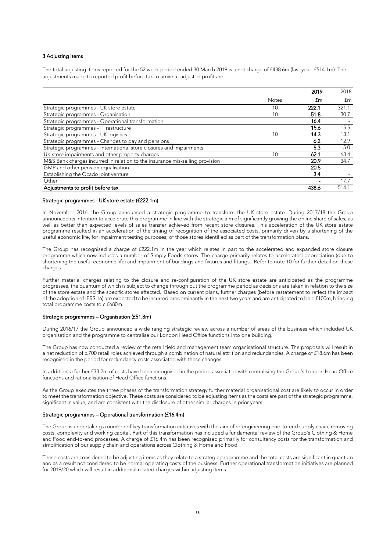#### 3 Adjusting items

The total adjusting items reported for the 52 week period ended 30 March 2019 is a net charge of £438.6m (last year: £514.1m). The adjustments made to reported profit before tax to arrive at adjusted profit are:

|                                                                              |              | 2019 | 2018 |
|------------------------------------------------------------------------------|--------------|------|------|
|                                                                              | <b>Notes</b> | £m   | fm   |
| Strategic programmes - UK store estate                                       |              |      |      |
| Strategic programmes - Organisation                                          |              | 51.8 | 30 7 |
| Strategic programmes - Operational transformation                            |              | 64   |      |
| Strategic programmes - IT restructure                                        |              | 15.6 | 15.5 |
| Strategic programmes - UK logistics                                          |              | 14 R |      |
| Strategic programmes - Changes to pay and pensions                           |              |      | 129  |
| Strategic programmes - International store closures and impairments          |              |      | 5.0  |
| UK store impairments and other property charges                              |              |      |      |
| M&S Bank charges incurred in relation to the insurance mis-selling provision |              | 20.9 | 34 7 |
| GMP and other pension equalisation                                           |              | 20.5 |      |
| Establishing the Ocado joint venture                                         |              |      |      |
| Other                                                                        |              |      |      |
| Adjustments to profit before tax                                             |              |      |      |

#### Strategic programmes - UK store estate (£222.1m)

In November 2016, the Group announced a strategic programme to transform the UK store estate. During 2017/18 the Group announced its intention to accelerate this programme in line with the strategic aim of significantly growing the online share of sales, as well as better than expected levels of sales transfer achieved from recent store closures. This acceleration of the UK store estate programme resulted in an acceleration of the timing of recognition of the associated costs, primarily driven by a shortening of the useful economic life, for impairment testing purposes, of those stores identified as part of the transformation plans.

The Group has recognised a charge of £222.1m in the year which relates in part to the accelerated and expanded store closure programme which now includes a number of Simply Foods stores. The charge primarily relates to accelerated depreciation (due to shortening the useful economic life) and impairment of buildings and fixtures and fittings. Refer to note 10 for further detail on these charges.

Further material charges relating to the closure and re-configuration of the UK store estate are anticipated as the programme progresses, the quantum of which is subject to change through out the programme period as decisions are taken in relation to the size of the store estate and the specific stores affected. Based on current plans, further charges (before restatement to reflect the impact of the adoption of IFRS 16) are expected to be incurred predominantly in the next two years and are anticipated to be c.£100m, bringing total programme costs to c.£680m.

#### Strategic programmes – Organisation (£51.8m)

During 2016/17 the Group announced a wide ranging strategic review across a number of areas of the business which included UK organisation and the programme to centralise our London Head Office functions into one building.

The Group has now conducted a review of the retail field and management team organisational structure. The proposals will result in a net reduction of c.700 retail roles achieved through a combination of natural attrition and redundancies. A charge of £18.6m has been recognised in the period for redundancy costs associated with these changes.

In addition, a further £33.2m of costs have been recognised in the period associated with centralising the Group's London Head Office functions and rationalisation of Head Office functions.

As the Group executes the three phases of the transformation strategy further material organisational cost are likely to occur in order to meet the transformation objective. These costs are considered to be adjusting items as the costs are part of the strategic programme, significant in value, and are consistent with the disclosure of other similar charges in prior years.

#### Strategic programmes – Operational transformation (£16.4m)

The Group is undertaking a number of key transformation initiatives with the aim of re-engineering end-to-end supply chain, removing costs, complexity and working capital. Part of this transformation has included a fundamental review of the Group's Clothing & Home and Food end-to-end processes. A charge of £16.4m has been recognised primarily for consultancy costs for the transformation and simplification of our supply chain and operations across Clothing & Home and Food.

These costs are considered to be adjusting items as they relate to a strategic programme and the total costs are significant in quantum and as a result not considered to be normal operating costs of the business. Further operational transformation initiatives are planned for 2019/20 which will result in additional related charges within adjusting items.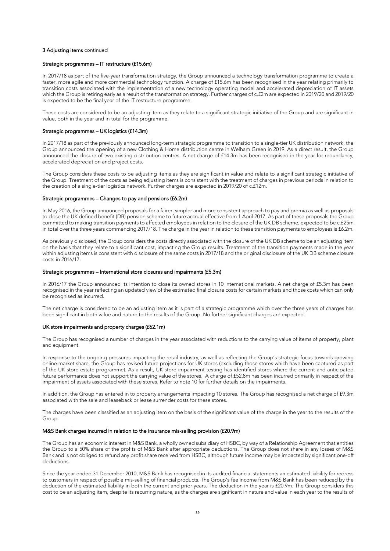#### 3 Adjusting items continued

#### Strategic programmes – IT restructure (£15.6m)

In 2017/18 as part of the five-year transformation strategy, the Group announced a technology transformation programme to create a faster, more agile and more commercial technology function. A charge of £15.6m has been recognised in the year relating primarily to transition costs associated with the implementation of a new technology operating model and accelerated depreciation of IT assets which the Group is retiring early as a result of the transformation strategy. Further charges of c.£2m are expected in 2019/20 and 2019/20 is expected to be the final year of the IT restructure programme.

These costs are considered to be an adjusting item as they relate to a significant strategic initiative of the Group and are significant in value, both in the year and in total for the programme.

#### Strategic programmes – UK logistics (£14.3m)

In 2017/18 as part of the previously announced long-term strategic programme to transition to a single-tier UK distribution network, the Group announced the opening of a new Clothing & Home distribution centre in Welham Green in 2019. As a direct result, the Group announced the closure of two existing distribution centres. A net charge of £14.3m has been recognised in the year for redundancy, accelerated depreciation and project costs.

The Group considers these costs to be adjusting items as they are significant in value and relate to a significant strategic initiative of the Group. Treatment of the costs as being adjusting items is consistent with the treatment of charges in previous periods in relation to the creation of a single-tier logistics network. Further charges are expected in 2019/20 of c.£12m.

#### Strategic programmes – Changes to pay and pensions (£6.2m)

In May 2016, the Group announced proposals for a fairer, simpler and more consistent approach to pay and premia as well as proposals to close the UK defined benefit (DB) pension scheme to future accrual effective from 1 April 2017. As part of these proposals the Group committed to making transition payments to affected employees in relation to the closure of the UK DB scheme, expected to be c.£25m in total over the three years commencing 2017/18. The charge in the year in relation to these transition payments to employees is £6.2m.

As previously disclosed, the Group considers the costs directly associated with the closure of the UK DB scheme to be an adjusting item on the basis that they relate to a significant cost, impacting the Group results. Treatment of the transition payments made in the year within adjusting items is consistent with disclosure of the same costs in 2017/18 and the original disclosure of the UK DB scheme closure costs in 2016/17.

#### Strategic programmes – International store closures and impairments (£5.3m)

In 2016/17 the Group announced its intention to close its owned stores in 10 international markets. A net charge of £5.3m has been recognised in the year reflecting an updated view of the estimated final closure costs for certain markets and those costs which can only be recognised as incurred.

The net charge is considered to be an adjusting item as it is part of a strategic programme which over the three years of charges has been significant in both value and nature to the results of the Group. No further significant charges are expected.

#### UK store impairments and property charges (£62.1m)

The Group has recognised a number of charges in the year associated with reductions to the carrying value of items of property, plant and equipment.

In response to the ongoing pressures impacting the retail industry, as well as reflecting the Group's strategic focus towards growing online market share, the Group has revised future projections for UK stores (excluding those stores which have been captured as part of the UK store estate programme). As a result, UK store impairment testing has identified stores where the current and anticipated future performance does not support the carrying value of the stores. A charge of £52.8m has been incurred primarily in respect of the impairment of assets associated with these stores. Refer to note 10 for further details on the impairments.

In addition, the Group has entered in to property arrangements impacting 10 stores. The Group has recognised a net charge of £9.3m associated with the sale and leaseback or lease surrender costs for these stores.

The charges have been classified as an adjusting item on the basis of the significant value of the charge in the year to the results of the Group.

#### M&S Bank charges incurred in relation to the insurance mis-selling provision (£20.9m)

The Group has an economic interest in M&S Bank, a wholly owned subsidiary of HSBC, by way of a Relationship Agreement that entitles the Group to a 50% share of the profits of M&S Bank after appropriate deductions. The Group does not share in any losses of M&S Bank and is not obliged to refund any profit share received from HSBC, although future income may be impacted by significant one-off deductions.

Since the year ended 31 December 2010, M&S Bank has recognised in its audited financial statements an estimated liability for redress to customers in respect of possible mis-selling of financial products. The Group's fee income from M&S Bank has been reduced by the deduction of the estimated liability in both the current and prior years. The deduction in the year is £20.9m. The Group considers this cost to be an adjusting item, despite its recurring nature, as the charges are significant in nature and value in each year to the results of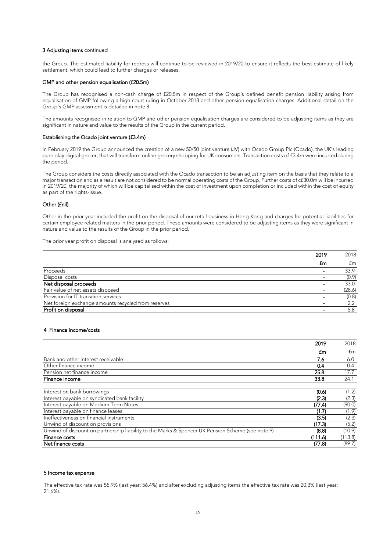#### 3 Adjusting items continued

the Group. The estimated liability for redress will continue to be reviewed in 2019/20 to ensure it reflects the best estimate of likely settlement, which could lead to further charges or releases.

#### GMP and other pension equalisation (£20.5m)

The Group has recognised a non-cash charge of £20.5m in respect of the Group's defined benefit pension liability arising from equalisation of GMP following a high court ruling in October 2018 and other pension equalisation charges. Additional detail on the Group's GMP assessment is detailed in note 8.

The amounts recognised in relation to GMP and other pension equalisation charges are considered to be adjusting items as they are significant in nature and value to the results of the Group in the current period.

#### Establishing the Ocado joint venture (£3.4m)

In February 2019 the Group announced the creation of a new 50/50 joint venture (JV) with Ocado Group Plc (Ocado), the UK's leading pure play digital grocer, that will transform online grocery shopping for UK consumers. Transaction costs of £3.4m were incurred during the period.

The Group considers the costs directly associated with the Ocado transaction to be an adjusting item on the basis that they relate to a major transaction and as a result are not considered to be normal operating costs of the Group. Further costs of c£30.0m will be incurred in 2019/20, the majority of which will be capitalised within the cost of investment upon completion or included within the cost of equity as part of the rights-issue.

#### Other (£nil)

Other in the prior year included the profit on the disposal of our retail business in Hong Kong and charges for potential liabilities for certain employee related matters in the prior period. These amounts were considered to be adjusting items as they were significant in nature and value to the results of the Group in the prior period.

The prior year profit on disposal is analysed as follows:

| transition services                     |  |
|-----------------------------------------|--|
| exchange amounts recycled from reserves |  |
|                                         |  |

#### 4 Finance income/costs

|                                                                                                   | 2019    | 2018    |
|---------------------------------------------------------------------------------------------------|---------|---------|
|                                                                                                   | £m      | £m      |
| Bank and other interest receivable                                                                |         | ለ በ     |
| Other finance income                                                                              | 0.4     | 0 4     |
| Pension net finance income                                                                        | 25.8    | 17 7    |
| Finance income                                                                                    | 33.8    | 24.1    |
|                                                                                                   |         |         |
| Interest on bank borrowings                                                                       | (0.6)   | (1.2)   |
| Interest payable on syndicated bank facility                                                      | (2.3)   | (2.3)   |
| Interest payable on Medium Term Notes                                                             | (77.4)  | (90.0)  |
| Interest payable on finance leases                                                                | (1.7)   | (1.9)   |
| Ineffectiveness on financial instruments                                                          | (3.5)   | (2.3)   |
| Unwind of discount on provisions                                                                  | (17.3)  | (5.2)   |
| Unwind of discount on partnership liability to the Marks & Spencer UK Pension Scheme (see note 9) | (8.8)   | 10.9    |
| Finance costs                                                                                     | (111.6) | (113.8) |
| Net finance costs                                                                                 | (77.8)  | (89.7)  |

#### 5 Income tax expense

The effective tax rate was 55.9% (last year: 56.4%) and after excluding adjusting items the effective tax rate was 20.3% (last year: 21.6%).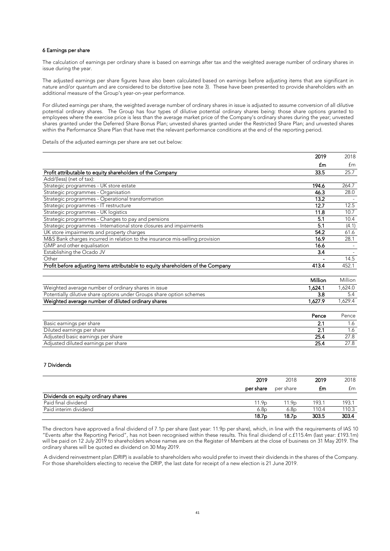#### 6 Earnings per share

The calculation of earnings per ordinary share is based on earnings after tax and the weighted average number of ordinary shares in issue during the year.

The adjusted earnings per share figures have also been calculated based on earnings before adjusting items that are significant in nature and/or quantum and are considered to be distortive (see note 3). These have been presented to provide shareholders with an additional measure of the Group's year-on-year performance.

For diluted earnings per share, the weighted average number of ordinary shares in issue is adjusted to assume conversion of all dilutive potential ordinary shares. The Group has four types of dilutive potential ordinary shares being: those share options granted to employees where the exercise price is less than the average market price of the Company's ordinary shares during the year; unvested shares granted under the Deferred Share Bonus Plan; unvested shares granted under the Restricted Share Plan; and unvested shares within the Performance Share Plan that have met the relevant performance conditions at the end of the reporting period.

Details of the adjusted earnings per share are set out below:

|                                                                                  | 2019    | 2018    |
|----------------------------------------------------------------------------------|---------|---------|
|                                                                                  | £m      | fm      |
| Profit attributable to equity shareholders of the Company                        | 33.5    | 25.7    |
| Add/(less) (net of tax):                                                         |         |         |
| Strategic programmes - UK store estate                                           | 194.6   | 264.7   |
| Strategic programmes - Organisation                                              | 46.3    | 28.0    |
| Strategic programmes - Operational transformation                                | 13.2    |         |
| Strategic programmes - IT restructure                                            | 12.7    | 12.5    |
| Strategic programmes - UK logistics                                              | 11.8    | 10.7    |
| Strategic programmes - Changes to pay and pensions                               | 5.1     | 10.4    |
| Strategic programmes - International store closures and impairments              | 5.1     | (4.1)   |
| UK store impairments and property charges                                        | 54.2    | 61.6    |
| M&S Bank charges incurred in relation to the insurance mis-selling provision     | 16.9    | 28.1    |
| GMP and other equalisation                                                       | 16.6    |         |
| Establishing the Ocado JV                                                        | 3.4     |         |
| Other                                                                            |         | 14.5    |
| Profit before adjusting items attributable to equity shareholders of the Company | 413.4   | 452.1   |
|                                                                                  |         |         |
|                                                                                  | Million | Million |
| Weighted average number of ordinary shares in issue                              | 1.624.1 | 1,624.0 |
| Potentially dilutive share options under Groups share option schemes             | 3.8     | 5.4     |
| Weighted average number of diluted ordinary shares                               | 1.627.9 | 1,629.4 |

|                                     | Pence | Pence |
|-------------------------------------|-------|-------|
| Basic earnings per share            |       |       |
| Diluted earnings per share          |       |       |
| Adiusted basic earnings per share   |       |       |
| Adjusted diluted earnings per share |       |       |

#### 7 Dividends

|                                          | 2019                       |           | 2019 | ດ18 |
|------------------------------------------|----------------------------|-----------|------|-----|
|                                          | per share                  | per share |      | t m |
| יעוע<br>dends on equity ordinary shares. |                            |           |      |     |
| Paid final dividend                      | 1 Yr<br>------------------ |           |      |     |
| Paid interim dividend                    | , 8r                       |           |      |     |
|                                          |                            |           |      |     |

The directors have approved a final dividend of 7.1p per share (last year: 11.9p per share), which, in line with the requirements of IAS 10 "Events after the Reporting Period", has not been recognised within these results. This final dividend of c.£115.4m (last year: £193.1m) will be paid on 12 July 2019 to shareholders whose names are on the Register of Members at the close of business on 31 May 2019. The ordinary shares will be quoted ex dividend on 30 May 2019.

A dividend reinvestment plan (DRIP) is available to shareholders who would prefer to invest their dividends in the shares of the Company. For those shareholders electing to receive the DRIP, the last date for receipt of a new election is 21 June 2019.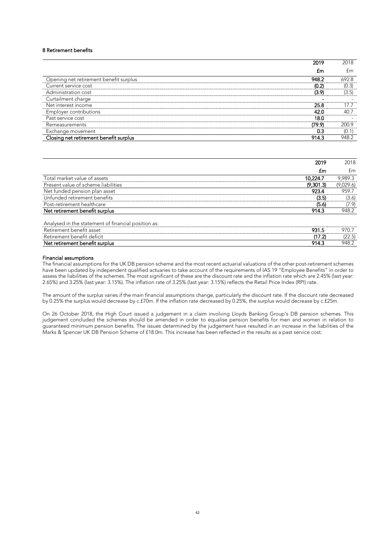#### 8 Retirement benefits

|                                        | 2019   | 2018  |
|----------------------------------------|--------|-------|
|                                        | £m     | fm    |
| Opening net retirement benefit surplus | 948.2  | 692.8 |
| Current service cost                   | (0.2)  | (0.3) |
| Administration cost                    | (3.9)  | (3.5) |
| Curtailment charge                     |        |       |
| Net interest income                    | 25.8   | 17 7  |
| <b>Employer contributions</b>          | 42.0   | 40.7  |
| Past service cost                      | 18.0   |       |
| Remeasurements                         | (79.9) | 200.9 |
| Exchange movement                      | 0.3    | (0.1) |
| Closing net retirement benefit surplus | 914.3  | 948.2 |

|                                                                                 | 2019      | 2018      |
|---------------------------------------------------------------------------------|-----------|-----------|
|                                                                                 | £m        | £m        |
| Total market value of assets                                                    | 10,224.7  | 9,989.3   |
| Present value of scheme liabilities                                             | (9,301.3) | (9,029.6) |
| Net funded pension plan asset                                                   | 923.4     | 959.7     |
| Unfunded retirement benefits                                                    | (3.5)     | (3.6)     |
| Post-retirement healthcare                                                      | (5.6)     | (7.9)     |
| Net retirement benefit surplus                                                  | 914.3     | 948.2     |
| Analysed in the statement of financial position as:<br>Retirement benefit asset | 931.5     | 970.7     |
| Retirement benefit deficit                                                      | (17.2)    | (22.5)    |
| Net retirement benefit surplus                                                  | 914.3     | 948.2     |

#### Financial assumptions

The financial assumptions for the UK DB pension scheme and the most recent actuarial valuations of the other post-retirement schemes have been updated by independent qualified actuaries to take account of the requirements of IAS 19 "Employee Benefits" in order to assess the liabilities of the schemes. The most significant of these are the discount rate and the inflation rate which are 2.45% (last year: 2.65%) and 3.25% (last year: 3.15%). The inflation rate of 3.25% (last year: 3.15%) reflects the Retail Price Index (RPI) rate.

The amount of the surplus varies if the main financial assumptions change, particularly the discount rate. If the discount rate decreased by 0.25% the surplus would decrease by c.£70m. If the inflation rate decreased by 0.25%, the surplus would decrease by c.£25m.

On 26 October 2018, the High Court issued a judgement in a claim involving Lloyds Banking Group's DB pension schemes. This judgement concluded the schemes should be amended in order to equalise pension benefits for men and women in relation to guaranteed minimum pension benefits. The issues determined by the judgement have resulted in an increase in the liabilities of the Marks & Spencer UK DB Pension Scheme of £18.0m. This increase has been reflected in the results as a past service cost.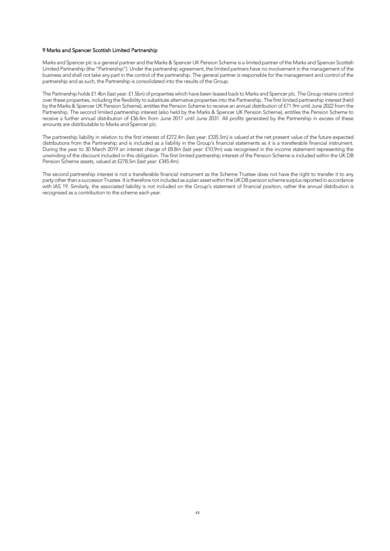#### 9 Marks and Spencer Scottish Limited Partnership

Marks and Spencer plc is a general partner and the Marks & Spencer UK Pension Scheme is a limited partner of the Marks and Spencer Scottish Limited Partnership (the "Partnership"). Under the partnership agreement, the limited partners have no involvement in the management of the business and shall not take any part in the control of the partnership. The general partner is responsible for the management and control of the partnership and as such, the Partnership is consolidated into the results of the Group.

The Partnership holds £1.4bn (last year: £1.5bn) of properties which have been leased back to Marks and Spencer plc. The Group retains control over these properties, including the flexibility to substitute alternative properties into the Partnership. The first limited partnership interest (held by the Marks & Spencer UK Pension Scheme), entitles the Pension Scheme to receive an annual distribution of £71.9m until June 2022 from the Partnership. The second limited partnership interest (also held by the Marks & Spencer UK Pension Scheme), entitles the Pension Scheme to receive a further annual distribution of £36.4m from June 2017 until June 2031. All profits generated by the Partnership in excess of these amounts are distributable to Marks and Spencer plc.

The partnership liability in relation to the first interest of £272.4m (last year: £335.5m) is valued at the net present value of the future expected distributions from the Partnership and is included as a liability in the Group's financial statements as it is a transferable financial instrument. During the year to 30 March 2019 an interest charge of £8.8m (last year: £10.9m) was recognised in the income statement representing the unwinding of the discount included in this obligation. The first limited partnership interest of the Pension Scheme is included within the UK DB Pension Scheme assets, valued at £278.5m (last year: £345.4m).

The second partnership interest is not a transferable financial instrument as the Scheme Trustee does not have the right to transfer it to any party other than a successor Trustee. It is therefore not included as a plan asset within the UK DB pension scheme surplus reported in accordance with IAS 19. Similarly, the associated liability is not included on the Group's statement of financial position, rather the annual distribution is recognised as a contribution to the scheme each year.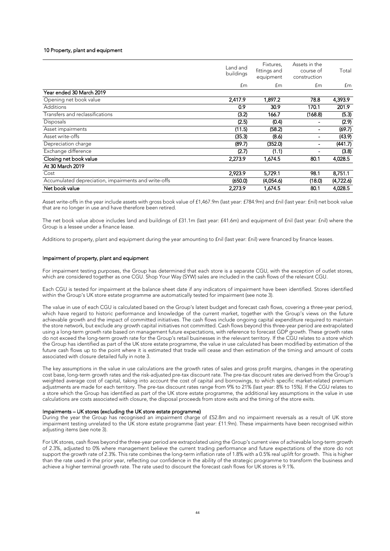#### 10 Property, plant and equipment

|                                                      | Land and<br>buildings | Fixtures,<br>fittings and<br>equipment | Assets in the<br>course of<br>construction | Total     |
|------------------------------------------------------|-----------------------|----------------------------------------|--------------------------------------------|-----------|
|                                                      | £m                    | £m                                     | £m                                         | £m        |
| Year ended 30 March 2019                             |                       |                                        |                                            |           |
| Opening net book value                               | 2,417.9               | 1,897.2                                | 78.8                                       | 4,393.9   |
| <b>Additions</b>                                     | 0.9                   | 30.9                                   | 170.1                                      | 201.9     |
| Transfers and reclassifications                      | (3.2)                 | 166.7                                  | (168.8)                                    | (5.3)     |
| Disposals                                            | (2.5)                 | (0.4)                                  |                                            | (2.9)     |
| Asset impairments                                    | (11.5)                | (58.2)                                 |                                            | (69.7)    |
| Asset write-offs                                     | (35.3)                | (8.6)                                  |                                            | (43.9)    |
| Depreciation charge                                  | (89.7)                | (352.0)                                |                                            | (441.7)   |
| Exchange difference                                  | (2.7)                 | (1.1)                                  |                                            | (3.8)     |
| Closing net book value                               | 2,273.9               | 1,674.5                                | 80.1                                       | 4,028.5   |
| At 30 March 2019                                     |                       |                                        |                                            |           |
| Cost                                                 | 2,923.9               | 5,729.1                                | 98.1                                       | 8,751.1   |
| Accumulated depreciation, impairments and write-offs | (650.0)               | (4,054.6)                              | (18.0)                                     | (4,722.6) |
| Net book value                                       | 2.273.9               | 1.674.5                                | 80.1                                       | 4.028.5   |

Asset write-offs in the year include assets with gross book value of £1,467.9m (last year: £784.9m) and £nil (last year: £nil) net book value that are no longer in use and have therefore been retired.

The net book value above includes land and buildings of £31.1m (last year: £41.6m) and equipment of £nil (last year: £nil) where the Group is a lessee under a finance lease.

Additions to property, plant and equipment during the year amounting to fnil (last year: fnil) were financed by finance leases.

#### Impairment of property, plant and equipment

For impairment testing purposes, the Group has determined that each store is a separate CGU, with the exception of outlet stores, which are considered together as one CGU. Shop Your Way (SYW) sales are included in the cash flows of the relevant CGU.

Each CGU is tested for impairment at the balance sheet date if any indicators of impairment have been identified. Stores identified within the Group's UK store estate programme are automatically tested for impairment (see note 3).

The value in use of each CGU is calculated based on the Group's latest budget and forecast cash flows, covering a three-year period, which have regard to historic performance and knowledge of the current market, together with the Group's views on the future achievable growth and the impact of committed initiatives. The cash flows include ongoing capital expenditure required to maintain the store network, but exclude any growth capital initiatives not committed. Cash flows beyond this three-year period are extrapolated using a long-term growth rate based on management future expectations, with reference to forecast GDP growth. These growth rates do not exceed the long-term growth rate for the Group's retail businesses in the relevant territory. If the CGU relates to a store which the Group has identified as part of the UK store estate programme, the value in use calculated has been modified by estimation of the future cash flows up to the point where it is estimated that trade will cease and then estimation of the timing and amount of costs associated with closure detailed fully in note 3.

The key assumptions in the value in use calculations are the growth rates of sales and gross profit margins, changes in the operating cost base, long-term growth rates and the risk-adjusted pre-tax discount rate. The pre-tax discount rates are derived from the Group's weighted average cost of capital, taking into account the cost of capital and borrowings, to which specific market-related premium adjustments are made for each territory. The pre-tax discount rates range from 9% to 21% (last year: 8% to 15%). If the CGU relates to a store which the Group has identified as part of the UK store estate programme, the additional key assumptions in the value in use calculations are costs associated with closure, the disposal proceeds from store exits and the timing of the store exits.

#### Impairments – UK stores (excluding the UK store estate programme)

During the year the Group has recognised an impairment charge of £52.8m and no impairment reversals as a result of UK store impairment testing unrelated to the UK store estate programme (last year: £11.9m). These impairments have been recognised within adjusting items (see note 3).

For UK stores, cash flows beyond the three-year period are extrapolated using the Group's current view of achievable long-term growth of 2.3%, adjusted to 0% where management believe the current trading performance and future expectations of the store do not support the growth rate of 2.3%. This rate combines the long-term inflation rate of 1.8% with a 0.5% real uplift for growth. This is higher than the rate used in the prior year, reflecting our confidence in the ability of the strategic programme to transform the business and achieve a higher terminal growth rate. The rate used to discount the forecast cash flows for UK stores is 9.1%.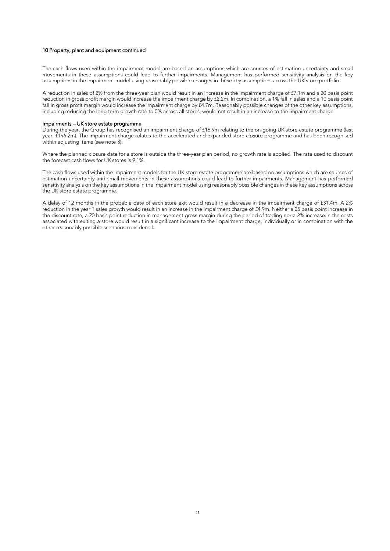#### 10 Property, plant and equipment continued

The cash flows used within the impairment model are based on assumptions which are sources of estimation uncertainty and small movements in these assumptions could lead to further impairments. Management has performed sensitivity analysis on the key assumptions in the impairment model using reasonably possible changes in these key assumptions across the UK store portfolio.

A reduction in sales of 2% from the three-year plan would result in an increase in the impairment charge of £7.1m and a 20 basis point reduction in gross profit margin would increase the impairment charge by £2.2m. In combination, a 1% fall in sales and a 10 basis point fall in gross profit margin would increase the impairment charge by £4.7m. Reasonably possible changes of the other key assumptions, including reducing the long term growth rate to 0% across all stores, would not result in an increase to the impairment charge.

#### Impairments – UK store estate programme

During the year, the Group has recognised an impairment charge of £16.9m relating to the on-going UK store estate programme (last year: £196.2m). The impairment charge relates to the accelerated and expanded store closure programme and has been recognised within adjusting items (see note 3).

Where the planned closure date for a store is outside the three-year plan period, no growth rate is applied. The rate used to discount the forecast cash flows for UK stores is 9.1%.

The cash flows used within the impairment models for the UK store estate programme are based on assumptions which are sources of estimation uncertainty and small movements in these assumptions could lead to further impairments. Management has performed sensitivity analysis on the key assumptions in the impairment model using reasonably possible changes in these key assumptions across the UK store estate programme.

A delay of 12 months in the probable date of each store exit would result in a decrease in the impairment charge of £31.4m. A 2% reduction in the year 1 sales growth would result in an increase in the impairment charge of £4.9m. Neither a 25 basis point increase in the discount rate, a 20 basis point reduction in management gross margin during the period of trading nor a 2% increase in the costs associated with exiting a store would result in a significant increase to the impairment charge, individually or in combination with the other reasonably possible scenarios considered.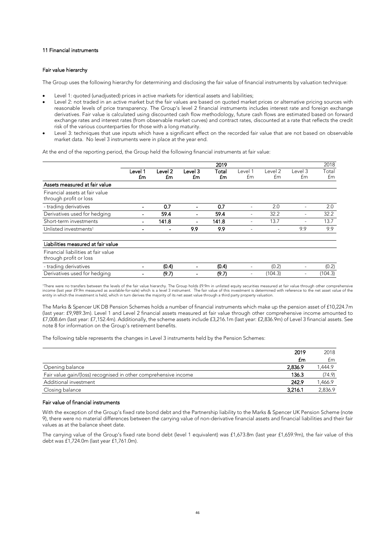#### 11 Financial instruments

#### Fair value hierarchy

The Group uses the following hierarchy for determining and disclosing the fair value of financial instruments by valuation technique:

- Level 1: quoted (unadjusted) prices in active markets for identical assets and liabilities;
- Level 2: not traded in an active market but the fair values are based on quoted market prices or alternative pricing sources with reasonable levels of price transparency. The Group's level 2 financial instruments includes interest rate and foreign exchange derivatives. Fair value is calculated using discounted cash flow methodology, future cash flows are estimated based on forward exchange rates and interest rates (from observable market curves) and contract rates, discounted at a rate that reflects the credit risk of the various counterparties for those with a long maturity.
- Level 3: techniques that use inputs which have a significant effect on the recorded fair value that are not based on observable market data. No level 3 instruments were in place at the year end.

At the end of the reporting period, the Group held the following financial instruments at fair value:

|                                                               |               |               |               | 2019        |               |               |               | 2018        |
|---------------------------------------------------------------|---------------|---------------|---------------|-------------|---------------|---------------|---------------|-------------|
|                                                               | Level 1<br>£m | Level 2<br>£m | Level 3<br>£m | Total<br>£m | Level 1<br>£m | Level 2<br>£m | Level 3<br>£m | Total<br>£m |
| Assets measured at fair value                                 |               |               |               |             |               |               |               |             |
| Financial assets at fair value<br>through profit or loss      |               |               |               |             |               |               |               |             |
| - trading derivatives                                         |               | 07            |               | n 7         |               | 2.0           |               | 2.0         |
| Derivatives used for hedging                                  |               | 59.4          |               | 59.4        |               | 32.2          |               | 32.2        |
| Short-term investments                                        |               | 141.8         |               | 141.8       |               | 13.7          |               | 13.7        |
| Unlisted investments <sup>1</sup>                             |               |               | 9.9           | 9.9         |               |               | 9.9           | 9.9         |
| Liabilities measured at fair value                            |               |               |               |             |               |               |               |             |
| Financial liabilities at fair value<br>through profit or loss |               |               |               |             |               |               |               |             |
| - trading derivatives                                         |               | (0.4)         |               | (0.4)       |               | (0.2)         |               | (0.2)       |
| Derivatives used for hedging                                  |               | (9.7)         |               | (9.7)       |               | (104.3)       |               | (104.3)     |

'There were no transfers between the levels of the fair value hierarchy. The Group holds £9.9m in unlisted equity securities measured at fair value through other comprehensive<br>income (last year £9.9m measured as available-

The Marks & Spencer UK DB Pension Schemes holds a number of financial instruments which make up the pension asset of £10,224.7m (last year: £9,989.3m). Level 1 and Level 2 financial assets measured at fair value through other comprehensive income amounted to £7,008.6m (last year: £7,152.4m). Additionally, the scheme assets include £3,216.1m (last year: £2,836.9m) of Level 3 financial assets. See note 8 for information on the Group's retirement benefits.

The following table represents the changes in Level 3 instruments held by the Pension Schemes:

|                                                                 | 2018. |
|-----------------------------------------------------------------|-------|
|                                                                 | t m   |
| balance                                                         |       |
| Fair value gain/(loss) recognised in other comprehensive income | 1 Q)  |
| ditional investment.                                            |       |
| balance                                                         |       |

#### Fair value of financial instruments

With the exception of the Group's fixed rate bond debt and the Partnership liability to the Marks & Spencer UK Pension Scheme (note 9), there were no material differences between the carrying value of non-derivative financial assets and financial liabilities and their fair values as at the balance sheet date.

The carrying value of the Group's fixed rate bond debt (level 1 equivalent) was £1,673.8m (last year £1,659.9m), the fair value of this debt was £1,724.0m (last year £1,761.0m).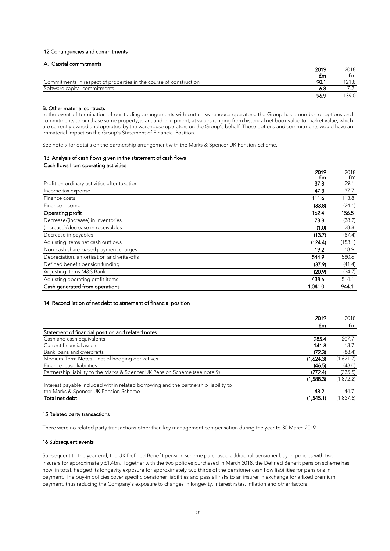#### 12 Contingencies and commitments

#### A. Capital commitments

|                                                                    | 2019 | 2018 |
|--------------------------------------------------------------------|------|------|
|                                                                    | £m   | fm   |
| Commitments in respect of properties in the course of construction |      |      |
| Software capital commitments                                       |      |      |
|                                                                    | 96.9 |      |

#### B. Other material contracts

In the event of termination of our trading arrangements with certain warehouse operators, the Group has a number of options and commitments to purchase some property, plant and equipment, at values ranging from historical net book value to market value, which are currently owned and operated by the warehouse operators on the Group's behalf. These options and commitments would have an immaterial impact on the Group's Statement of Financial Position.

See note 9 for details on the partnership arrangement with the Marks & Spencer UK Pension Scheme.

## 13 Analysis of cash flows given in the statement of cash flows

#### Cash flows from operating activities

|                                              | 2019    | 2018    |
|----------------------------------------------|---------|---------|
|                                              | £m      | £m      |
| Profit on ordinary activities after taxation | 37.3    | 29.1    |
| Income tax expense                           | 47.3    | 37.7    |
| Finance costs                                | 111.6   | 113.8   |
| Finance income                               | (33.8)  | (24.1)  |
| Operating profit                             | 162.4   | 156.5   |
| Decrease/(increase) in inventories           | 73.8    | (38.2)  |
| (Increase)/decrease in receivables           | (1.0)   | 28.8    |
| Decrease in payables                         | (13.7)  | (87.4)  |
| Adjusting items net cash outflows            | (124.4) | (153.1) |
| Non-cash share-based payment charges         | 19.2    | 18.9    |
| Depreciation, amortisation and write-offs    | 544.9   | 580.6   |
| Defined benefit pension funding              | (37.9)  | (41.4)  |
| Adjusting items M&S Bank                     | (20.9)  | (34.7)  |
| Adjusting operating profit items             | 438.6   | 514.1   |
| Cash generated from operations               | 1.041.0 | 944.1   |

#### 14 Reconciliation of net debt to statement of financial position

|                                                                                     |         | 2018   |
|-------------------------------------------------------------------------------------|---------|--------|
|                                                                                     | £m      | £m     |
| Statement of financial position and related notes                                   |         |        |
| Cash and cash equivalents                                                           | 285 4   |        |
| Current financial assets                                                            | 141.8   | 137    |
| Bank loans and overdrafts                                                           | (72.3)  | (88.4) |
| Medium Term Notes – net of hedging derivatives                                      | .624.3) |        |
| Finance lease liabilities                                                           | (46.5)  | (48.0) |
| Partnership liability to the Marks & Spencer UK Pension Scheme (see note 9)         | 72.4)   | 335.5) |
|                                                                                     | .588.3) | 8722)  |
| Interest payable included within related borrowing and the partnership liability to |         |        |
| the Marks & Spencer UK Pension Scheme                                               | 13 O    |        |
| Total net debt                                                                      |         |        |

#### 15 Related party transactions

There were no related party transactions other than key management compensation during the year to 30 March 2019.

#### 16 Subsequent events

Subsequent to the year end, the UK Defined Benefit pension scheme purchased additional pensioner buy-in policies with two insurers for approximately £1.4bn. Together with the two policies purchased in March 2018, the Defined Benefit pension scheme has now, in total, hedged its longevity exposure for approximately two thirds of the pensioner cash flow liabilities for pensions in payment. The buy-in policies cover specific pensioner liabilities and pass all risks to an insurer in exchange for a fixed premium payment, thus reducing the Company's exposure to changes in longevity, interest rates, inflation and other factors.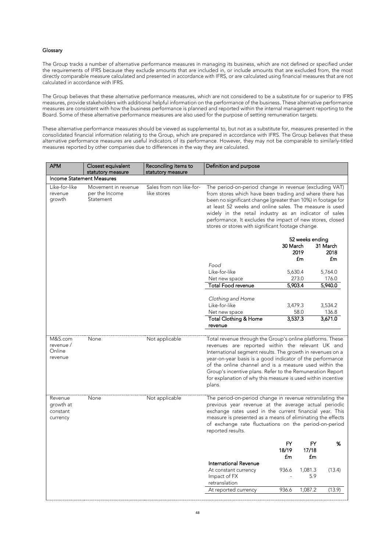#### Glossary

The Group tracks a number of alternative performance measures in managing its business, which are not defined or specified under the requirements of IFRS because they exclude amounts that are included in, or include amounts that are excluded from, the most directly comparable measure calculated and presented in accordance with IFRS, or are calculated using financial measures that are not calculated in accordance with IFRS.

The Group believes that these alternative performance measures, which are not considered to be a substitute for or superior to IFRS measures, provide stakeholders with additional helpful information on the performance of the business. These alternative performance measures are consistent with how the business performance is planned and reported within the internal management reporting to the Board. Some of these alternative performance measures are also used for the purpose of setting remuneration targets.

These alternative performance measures should be viewed as supplemental to, but not as a substitute for, measures presented in the consolidated financial information relating to the Group, which are prepared in accordance with IFRS. The Group believes that these alternative performance measures are useful indicators of its performance. However, they may not be comparable to similarly-titled measures reported by other companies due to differences in the way they are calculated.

| <b>APM</b>                                   | Closest equivalent<br>statutory measure            | Reconciling items to<br>statutory measure | Definition and purpose                                                                                                                                                                                                                                                                                                                                                                                                                    |                          |                          |         |  |  |
|----------------------------------------------|----------------------------------------------------|-------------------------------------------|-------------------------------------------------------------------------------------------------------------------------------------------------------------------------------------------------------------------------------------------------------------------------------------------------------------------------------------------------------------------------------------------------------------------------------------------|--------------------------|--------------------------|---------|--|--|
| <b>Income Statement Measures</b>             |                                                    |                                           |                                                                                                                                                                                                                                                                                                                                                                                                                                           |                          |                          |         |  |  |
| Like-for-like<br>revenue<br>growth           | Movement in revenue<br>per the Income<br>Statement | Sales from non like-for-<br>like stores   | The period-on-period change in revenue (excluding VAT)<br>from stores which have been trading and where there has<br>been no significant change (greater than 10%) in footage for<br>at least 52 weeks and online sales. The measure is used<br>widely in the retail industry as an indicator of sales<br>performance. It excludes the impact of new stores, closed<br>stores or stores with significant footage change.                  |                          |                          |         |  |  |
|                                              |                                                    |                                           | 52 weeks ending<br>30 March<br>2019<br>£m                                                                                                                                                                                                                                                                                                                                                                                                 |                          | 31 March<br>2018<br>£m   |         |  |  |
|                                              |                                                    |                                           | Food<br>Like-for-like                                                                                                                                                                                                                                                                                                                                                                                                                     | 5,630.4                  |                          | 5,764.0 |  |  |
|                                              |                                                    |                                           | Net new space                                                                                                                                                                                                                                                                                                                                                                                                                             | 273.0                    |                          | 176.0   |  |  |
|                                              |                                                    |                                           | <b>Total Food revenue</b>                                                                                                                                                                                                                                                                                                                                                                                                                 | 5,903.4                  |                          | 5,940.0 |  |  |
|                                              |                                                    |                                           | Clothing and Home<br>Like-for-like                                                                                                                                                                                                                                                                                                                                                                                                        | 3,479.3                  |                          | 3,534.2 |  |  |
|                                              |                                                    |                                           | Net new space                                                                                                                                                                                                                                                                                                                                                                                                                             |                          | 58.0                     | 136.8   |  |  |
|                                              |                                                    |                                           | <b>Total Clothing &amp; Home</b><br>revenue                                                                                                                                                                                                                                                                                                                                                                                               | 3,537.3                  |                          | 3,671.0 |  |  |
| M&S.com<br>revenue /<br>Online<br>revenue    | None                                               | Not applicable                            | Total revenue through the Group's online platforms. These<br>revenues are reported within the relevant UK and<br>International segment results. The growth in revenues on a<br>year-on-year basis is a good indicator of the performance<br>of the online channel and is a measure used within the<br>Group's incentive plans. Refer to the Remuneration Report<br>for explanation of why this measure is used within incentive<br>plans. |                          |                          |         |  |  |
| Revenue<br>growth at<br>constant<br>currency | None                                               | Not applicable                            | The period-on-period change in revenue retranslating the<br>previous year revenue at the average actual periodic<br>exchange rates used in the current financial year. This<br>measure is presented as a means of eliminating the effects<br>of exchange rate fluctuations on the period-on-period<br>reported results.                                                                                                                   |                          |                          |         |  |  |
|                                              |                                                    |                                           |                                                                                                                                                                                                                                                                                                                                                                                                                                           | <b>FY</b><br>18/19<br>£m | <b>FY</b><br>17/18<br>£m | %       |  |  |
|                                              |                                                    |                                           | International Revenue<br>At constant currency<br>Impact of FX<br>retranslation                                                                                                                                                                                                                                                                                                                                                            | 936.6                    | 1,081.3<br>5.9           | (13.4)  |  |  |
|                                              |                                                    |                                           | At reported currency                                                                                                                                                                                                                                                                                                                                                                                                                      | 936.6                    | 1,087.2                  | (13.9)  |  |  |
|                                              |                                                    |                                           |                                                                                                                                                                                                                                                                                                                                                                                                                                           |                          |                          |         |  |  |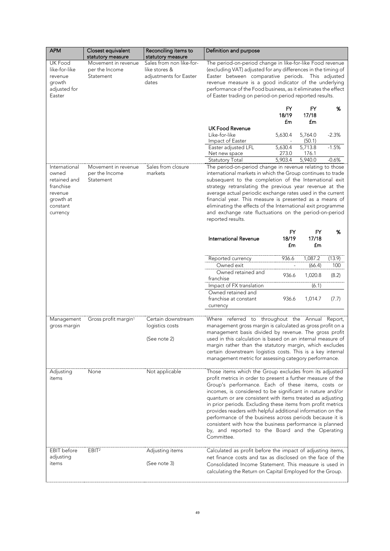| <b>APM</b>                                                                                          | Closest equivalent<br>statutory measure            | Reconciling items to<br>statutory measure                                    | Definition and purpose                                                                                                                                                                                                                                                                                                                                                                                                                                                                                                                                                                                                      |                   |                         |               |
|-----------------------------------------------------------------------------------------------------|----------------------------------------------------|------------------------------------------------------------------------------|-----------------------------------------------------------------------------------------------------------------------------------------------------------------------------------------------------------------------------------------------------------------------------------------------------------------------------------------------------------------------------------------------------------------------------------------------------------------------------------------------------------------------------------------------------------------------------------------------------------------------------|-------------------|-------------------------|---------------|
| UK Food<br>like-for-like<br>revenue<br>growth<br>adjusted for<br>Easter                             | Movement in revenue<br>per the Income<br>Statement | Sales from non like-for-<br>like stores &<br>adjustments for Easter<br>dates | The period-on-period change in like-for-like Food revenue<br>(excluding VAT) adjusted for any differences in the timing of<br>Easter between comparative periods.<br>This adjusted<br>revenue measure is a good indicator of the underlying<br>performance of the Food business, as it eliminates the effect<br>of Easter trading on period-on period reported results.                                                                                                                                                                                                                                                     |                   |                         |               |
|                                                                                                     |                                                    |                                                                              |                                                                                                                                                                                                                                                                                                                                                                                                                                                                                                                                                                                                                             | FY<br>18/19       | FY<br>17/18             | %             |
|                                                                                                     |                                                    |                                                                              | <b>UK Food Revenue</b><br>Like-for-like<br>Impact of Easter                                                                                                                                                                                                                                                                                                                                                                                                                                                                                                                                                                 | £m<br>5,630.4     | £m<br>5,764.0<br>(50.1) | $-2.3%$       |
|                                                                                                     |                                                    |                                                                              | Easter adjusted LFL<br>Net new space                                                                                                                                                                                                                                                                                                                                                                                                                                                                                                                                                                                        | 5,630.4<br>273.0  | 5,713.8<br>176.1        | $-1.5%$       |
| International<br>owned<br>retained and<br>franchise<br>revenue<br>growth at<br>constant<br>currency | Movement in revenue<br>per the Income<br>Statement | Sales from closure<br>markets                                                | 5,903.4<br>5,940.0<br>$-0.6%$<br><b>Statutory Total</b><br>The period-on-period change in revenue relating to those<br>international markets in which the Group continues to trade<br>subsequent to the completion of the International exit<br>strategy retranslating the previous year revenue at the<br>average actual periodic exchange rates used in the current<br>financial year. This measure is presented as a means of<br>eliminating the effects of the International exit programme<br>and exchange rate fluctuations on the period-on-period<br>reported results.                                              |                   |                         |               |
|                                                                                                     |                                                    |                                                                              | International Revenue                                                                                                                                                                                                                                                                                                                                                                                                                                                                                                                                                                                                       | FY<br>18/19<br>£m | FY<br>17/18<br>£m       | %             |
|                                                                                                     |                                                    |                                                                              | Reported currency<br>Owned exit                                                                                                                                                                                                                                                                                                                                                                                                                                                                                                                                                                                             | 936.6             | 1,087.2<br>(66.4)       | (13.9)<br>100 |
|                                                                                                     |                                                    |                                                                              | Owned retained and<br>franchise                                                                                                                                                                                                                                                                                                                                                                                                                                                                                                                                                                                             | 936.6             | 1,020.8                 | (8.2)         |
|                                                                                                     |                                                    |                                                                              | Impact of FX translation<br>Owned retained and<br>franchise at constant<br>currency                                                                                                                                                                                                                                                                                                                                                                                                                                                                                                                                         | 936.6             | (6.1)<br>1,014.7        | (7.7)         |
| Management<br>gross margin                                                                          | Gross profit margin <sup>1</sup>                   | Certain downstream<br>logistics costs<br>(See note 2)                        | Where referred to throughout the Annual Report,<br>management gross margin is calculated as gross profit on a<br>management basis divided by revenue. The gross profit<br>used in this calculation is based on an internal measure of<br>margin rather than the statutory margin, which excludes<br>certain downstream logistics costs. This is a key internal<br>management metric for assessing category performance.                                                                                                                                                                                                     |                   |                         |               |
| Adjusting<br>items                                                                                  | None                                               | Not applicable                                                               | Those items which the Group excludes from its adjusted<br>profit metrics in order to present a further measure of the<br>Group's performance. Each of these items, costs or<br>incomes, is considered to be significant in nature and/or<br>quantum or are consistent with items treated as adjusting<br>in prior periods. Excluding these items from profit metrics<br>provides readers with helpful additional information on the<br>performance of the business across periods because it is<br>consistent with how the business performance is planned<br>by, and reported to the Board and the Operating<br>Committee. |                   |                         |               |
| <b>EBIT</b> before<br>adjusting<br>items                                                            | EBIT <sup>2</sup>                                  | Adjusting items<br>(See note 3)                                              | Calculated as profit before the impact of adjusting items,<br>net finance costs and tax as disclosed on the face of the<br>Consolidated Income Statement. This measure is used in<br>calculating the Return on Capital Employed for the Group.                                                                                                                                                                                                                                                                                                                                                                              |                   |                         |               |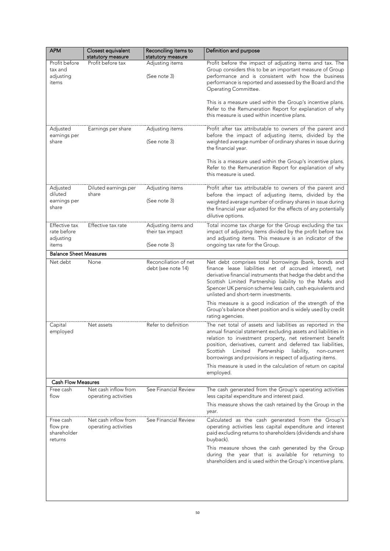| <b>APM</b>                                       | Closest equivalent<br>statutory measure      | Reconciling items to<br>statutory measure | Definition and purpose                                                                                                                                                                                                                                                                                                                                                                 |  |
|--------------------------------------------------|----------------------------------------------|-------------------------------------------|----------------------------------------------------------------------------------------------------------------------------------------------------------------------------------------------------------------------------------------------------------------------------------------------------------------------------------------------------------------------------------------|--|
| Profit before                                    | Profit before tax                            | Adjusting items                           | Profit before the impact of adjusting items and tax. The                                                                                                                                                                                                                                                                                                                               |  |
| tax and<br>adjusting<br>items                    |                                              | (See note 3)                              | Group considers this to be an important measure of Group<br>performance and is consistent with how the business<br>performance is reported and assessed by the Board and the<br>Operating Committee.                                                                                                                                                                                   |  |
|                                                  |                                              |                                           | This is a measure used within the Group's incentive plans.<br>Refer to the Remuneration Report for explanation of why<br>this measure is used within incentive plans.                                                                                                                                                                                                                  |  |
| Adjusted<br>earnings per                         | Earnings per share                           | Adjusting items                           | Profit after tax attributable to owners of the parent and<br>before the impact of adjusting items, divided by the                                                                                                                                                                                                                                                                      |  |
| share                                            |                                              | (See note 3)                              | weighted average number of ordinary shares in issue during<br>the financial year.                                                                                                                                                                                                                                                                                                      |  |
|                                                  |                                              |                                           | This is a measure used within the Group's incentive plans.<br>Refer to the Remuneration Report for explanation of why<br>this measure is used.                                                                                                                                                                                                                                         |  |
| Adjusted<br>diluted                              | Diluted earnings per<br>share                | Adjusting items                           | Profit after tax attributable to owners of the parent and<br>before the impact of adjusting items, divided by the                                                                                                                                                                                                                                                                      |  |
| earnings per<br>share                            |                                              | (See note 3)                              | weighted average number of ordinary shares in issue during<br>the financial year adjusted for the effects of any potentially<br>dilutive options.                                                                                                                                                                                                                                      |  |
| <b>Effective tax</b><br>rate before<br>adjusting | Effective tax rate                           | Adjusting items and<br>their tax impact   | Total income tax charge for the Group excluding the tax<br>impact of adjusting items divided by the profit before tax<br>and adjusting items. This measure is an indicator of the                                                                                                                                                                                                      |  |
| items<br><b>Balance Sheet Measures</b>           |                                              | (See note 3)                              | ongoing tax rate for the Group.                                                                                                                                                                                                                                                                                                                                                        |  |
| Net debt                                         | None                                         | Reconciliation of net                     | Net debt comprises total borrowings (bank, bonds and                                                                                                                                                                                                                                                                                                                                   |  |
|                                                  |                                              | debt (see note 14)                        | finance lease liabilities net of accrued interest), net<br>derivative financial instruments that hedge the debt and the<br>Scottish Limited Partnership liability to the Marks and<br>Spencer UK pension scheme less cash, cash equivalents and<br>unlisted and short-term investments.                                                                                                |  |
|                                                  |                                              |                                           | This measure is a good indication of the strength of the<br>Group's balance sheet position and is widely used by credit<br>rating agencies.                                                                                                                                                                                                                                            |  |
| Capital<br>employed                              | Net assets                                   | Refer to definition                       | The net total of assets and liabilities as reported in the<br>annual financial statement excluding assets and liabilities in<br>relation to investment property, net retirement benefit<br>position, derivatives, current and deferred tax liabilities,<br>Scottish<br>Limited<br>Partnership<br>liability,<br>non-current<br>borrowings and provisions in respect of adjusting items. |  |
|                                                  |                                              |                                           | This measure is used in the calculation of return on capital<br>employed.                                                                                                                                                                                                                                                                                                              |  |
| <b>Cash Flow Measures</b>                        |                                              |                                           |                                                                                                                                                                                                                                                                                                                                                                                        |  |
| Free cash<br>flow                                | Net cash inflow from<br>operating activities | See Financial Review                      | The cash generated from the Group's operating activities<br>less capital expenditure and interest paid.                                                                                                                                                                                                                                                                                |  |
|                                                  |                                              |                                           | This measure shows the cash retained by the Group in the<br>year.                                                                                                                                                                                                                                                                                                                      |  |
| Free cash<br>flow pre<br>shareholder<br>returns  | Net cash inflow from<br>operating activities | See Financial Review                      | Calculated as the cash generated from the Group's<br>operating activities less capital expenditure and interest<br>paid excluding returns to shareholders (dividends and share<br>buyback).                                                                                                                                                                                            |  |
|                                                  |                                              |                                           | This measure shows the cash generated by the Group<br>during the year that is available for returning to<br>shareholders and is used within the Group's incentive plans.                                                                                                                                                                                                               |  |
|                                                  |                                              |                                           |                                                                                                                                                                                                                                                                                                                                                                                        |  |